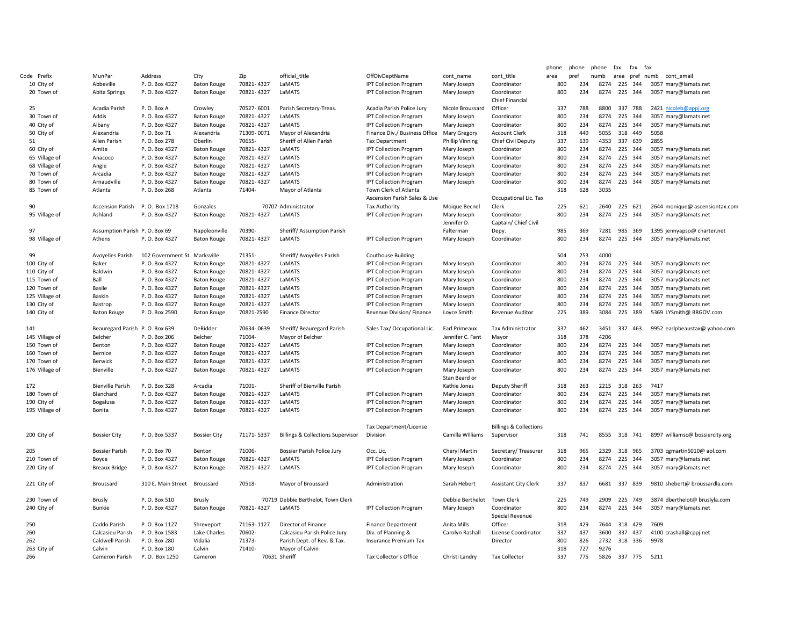|                |                                |                               |                     |            |                                              |                                    |                              |                                                 | phone | phone | phone | fax          | fax     | fax                             |
|----------------|--------------------------------|-------------------------------|---------------------|------------|----------------------------------------------|------------------------------------|------------------------------|-------------------------------------------------|-------|-------|-------|--------------|---------|---------------------------------|
| Code Prefix    | MunPar                         | Address                       | City                | Zip        | official title                               | OffDivDeptName                     | cont name                    | cont title                                      | area  | pref  | numb  | area         | pref    | numb cont email                 |
| 10 City of     | Abbeville                      | P. O. Box 4327                | <b>Baton Rouge</b>  | 70821-4327 | LaMATS                                       | <b>IPT Collection Program</b>      | Mary Joseph                  | Coordinator                                     | 800   | 234   | 8274  | 225          | 344     | 3057 mary@lamats.net            |
| 20 Town of     | Abita Springs                  | P. O. Box 4327                | <b>Baton Rouge</b>  | 70821-4327 | LaMATS                                       | <b>IPT Collection Program</b>      | Mary Joseph                  | Coordinator<br><b>Chief Financial</b>           | 800   | 234   | 8274  | 225          | 344     | 3057 mary@lamats.net            |
| 25             | Acadia Parish                  | P.O. Box A                    | Crowley             | 70527-6001 | Parish Secretary-Treas.                      | Acadia Parish Police Jury          | Nicole Broussard             | Officer                                         | 337   | 788   | 8800  |              | 337 788 | 2421 nicoleb@appj.org           |
| 30 Town of     | Addis                          | P. O. Box 4327                | <b>Baton Rouge</b>  | 70821-4327 | LaMATS                                       | <b>IPT Collection Program</b>      | Mary Joseph                  | Coordinator                                     | 800   | 234   | 8274  |              | 225 344 | 3057 mary@lamats.net            |
| 40 City of     | Albany                         | P. O. Box 4327                | <b>Baton Rouge</b>  | 70821-4327 | LaMATS                                       | <b>IPT Collection Program</b>      | Mary Joseph                  | Coordinator                                     | 800   | 234   | 8274  | 225          | 344     | 3057 mary@lamats.net            |
| 50 City of     | Alexandria                     | P.O. Box 71                   | Alexandria          | 71309-0071 | Mayor of Alexandria                          | Finance Div./ Business Office      | Mary Gregory                 | <b>Account Clerk</b>                            | 318   | 449   | 5055  |              | 318 449 | 5058                            |
| 51             | Allen Parish                   | P. O. Box 278                 | Oberlin             | 70655-     | Sheriff of Allen Parish                      | <b>Tax Department</b>              | <b>Phillip Vinning</b>       | Chief Civil Deputy                              | 337   | 639   | 4353  |              | 337 639 | 2855                            |
| 60 City of     | Amite                          | P. O. Box 4327                | <b>Baton Rouge</b>  | 70821-4327 | LaMATS                                       | <b>IPT Collection Program</b>      | Mary Joseph                  | Coordinator                                     | 800   | 234   | 8274  |              | 225 344 | 3057 mary@lamats.net            |
| 65 Village of  | Anacoco                        | P. O. Box 4327                | <b>Baton Rouge</b>  | 70821-4327 | LaMATS                                       | <b>IPT Collection Program</b>      | Mary Joseph                  | Coordinator                                     | 800   | 234   | 8274  | 225          | 344     | 3057 mary@lamats.net            |
| 68 Village of  | Angie                          | P. O. Box 4327                | <b>Baton Rouge</b>  | 70821-4327 | LaMATS                                       | <b>IPT Collection Program</b>      | Mary Joseph                  | Coordinator                                     | 800   | 234   | 8274  |              | 225 344 | 3057 mary@lamats.net            |
| 70 Town of     | Arcadia                        | P.O. Box 4327                 | <b>Baton Rouge</b>  | 70821-4327 | LaMATS                                       | <b>IPT Collection Program</b>      | Mary Joseph                  | Coordinator                                     | 800   | 234   | 8274  |              | 225 344 | 3057 mary@lamats.net            |
| 80 Town of     | Arnaudville                    | P. O. Box 4327                | <b>Baton Rouge</b>  | 70821-4327 | LaMATS                                       | <b>IPT Collection Program</b>      | Mary Joseph                  | Coordinator                                     | 800   | 234   | 8274  | 225 344      |         | 3057 mary@lamats.net            |
| 85 Town of     | Atlanta                        | P. O. Box 268                 | Atlanta             | 71404-     | Mayor of Atlanta                             | Town Clerk of Atlanta              |                              |                                                 | 318   | 628   | 3035  |              |         |                                 |
|                |                                |                               |                     |            |                                              | Ascension Parish Sales & Use       |                              | Occupational Lic. Tax                           |       |       |       |              |         |                                 |
| 90             | <b>Ascension Parish</b>        | P.O. Box 1718                 | Gonzales            |            | 70707 Administrator                          | <b>Tax Authority</b>               | Moique Becnel                | Clerk                                           | 225   | 621   | 2640  |              | 225 621 | 2644 monique@ ascensiontax.com  |
| 95 Village of  | Ashland                        | P.O. Box 4327                 | <b>Baton Rouge</b>  | 70821-4327 | LaMATS                                       | <b>IPT Collection Program</b>      | Mary Joseph<br>Jennifer D.   | Coordinator<br>Captain/ Chief Civil             | 800   | 234   | 8274  |              | 225 344 | 3057 mary@lamats.net            |
| 97             | Assumption Parish P.O. Box 69  |                               | Napoleonville       | 70390-     | Sheriff/Assumption Parish                    |                                    | Falterman                    | Depy.                                           | 985   | 369   | 7281  | 985 369      |         | 1395 jennyapso@ charter.net     |
| 98 Village of  | Athens                         | P. O. Box 4327                | <b>Baton Rouge</b>  | 70821-4327 | LaMATS                                       | <b>IPT Collection Program</b>      | Mary Joseph                  | Coordinator                                     | 800   | 234   | 8274  | 225 344      |         | 3057 mary@lamats.net            |
| 99             | Avoyelles Parish               | 102 Government St. Marksville |                     | 71351-     |                                              | <b>Couthouse Building</b>          |                              |                                                 | 504   | 253   | 4000  |              |         |                                 |
| 100 City of    | Baker                          | P. O. Box 4327                |                     | 70821-4327 | Sheriff/Avoyelles Parish<br>LaMATS           | <b>IPT Collection Program</b>      |                              | Coordinator                                     | 800   | 234   | 8274  |              | 225 344 | 3057 mary@lamats.net            |
|                |                                | P. O. Box 4327                | <b>Baton Rouge</b>  | 70821-4327 | LaMATS                                       |                                    | Mary Joseph                  |                                                 | 800   | 234   | 8274  | 225          | 344     |                                 |
| 110 City of    | Baldwin                        |                               | <b>Baton Rouge</b>  |            |                                              | <b>IPT Collection Program</b>      | Mary Joseph                  | Coordinator                                     |       |       |       |              |         | 3057 mary@lamats.net            |
| 115 Town of    | Ball                           | P. O. Box 4327                | <b>Baton Rouge</b>  | 70821-4327 | LaMATS                                       | <b>IPT Collection Program</b>      | Mary Joseph                  | Coordinator                                     | 800   | 234   | 8274  |              | 225 344 | 3057 mary@lamats.net            |
| 120 Town of    | Basile                         | P. O. Box 4327                | <b>Baton Rouge</b>  | 70821-4327 | LaMATS                                       | <b>IPT Collection Program</b>      | Mary Joseph                  | Coordinator                                     | 800   | 234   | 8274  |              | 225 344 | 3057 mary@lamats.net            |
| 125 Village of | Baskin                         | P. O. Box 4327                | <b>Baton Rouge</b>  | 70821-4327 | LaMATS                                       | <b>IPT Collection Program</b>      | Mary Joseph                  | Coordinator                                     | 800   | 234   | 8274  |              | 225 344 | 3057 mary@lamats.net            |
| 130 City of    | Bastrop                        | P. O. Box 4327                | <b>Baton Rouge</b>  | 70821-4327 | LaMATS                                       | <b>IPT Collection Program</b>      | Mary Joseph                  | Coordinator                                     | 800   | 234   | 8274  |              | 225 344 | 3057 mary@lamats.net            |
| 140 City of    | <b>Baton Rouge</b>             | P. O. Box 2590                | <b>Baton Rouge</b>  | 70821-2590 | <b>Finance Director</b>                      | Revenue Division/ Finance          | Loyce Smith                  | Revenue Auditor                                 | 225   | 389   | 3084  |              | 225 389 | 5369 LYSmith@ BRGOV.com         |
| 141            | Beauregard Parish P.O. Box 639 |                               | DeRidder            | 70634-0639 | Sheriff/Beauregard Parish                    | Sales Tax/ Occupational Lic.       | Earl Primeaux                | Tax Administrator                               | 337   | 462   |       | 3451 337 463 |         | 9952 earlpbeaustax@ yahoo.com   |
| 145 Village of | Belcher                        | P. O. Box 206                 | Belcher             | 71004      | Mayor of Belcher                             |                                    | Jennifer C. Fant             | Mayor                                           | 318   | 378   | 4206  |              |         |                                 |
| 150 Town of    | Benton                         | P. O. Box 4327                | <b>Baton Rouge</b>  | 70821-4327 | LaMATS                                       | <b>IPT Collection Program</b>      | Mary Joseph                  | Coordinator                                     | 800   | 234   | 8274  |              | 225 344 | 3057 mary@lamats.net            |
| 160 Town of    | Bernice                        | P. O. Box 4327                | <b>Baton Rouge</b>  | 70821-4327 | LaMATS                                       | <b>IPT Collection Program</b>      | Mary Joseph                  | Coordinator                                     | 800   | 234   | 8274  |              | 225 344 | 3057 mary@lamats.net            |
| 170 Town of    | Berwick                        | P. O. Box 4327                | <b>Baton Rouge</b>  | 70821-4327 | LaMATS                                       | <b>IPT Collection Program</b>      | Mary Joseph                  | Coordinator                                     | 800   | 234   | 8274  |              | 225 344 | 3057 mary@lamats.net            |
| 176 Village of | Bienville                      | P. O. Box 4327                | <b>Baton Rouge</b>  | 70821-4327 | LaMATS                                       | <b>IPT Collection Program</b>      | Mary Joseph<br>Stan Beard or | Coordinator                                     | 800   | 234   | 8274  | 225 344      |         | 3057 mary@lamats.net            |
| 172            | <b>Bienville Parish</b>        | P. O. Box 328                 | Arcadia             | 71001      | Sheriff of Bienville Parish                  |                                    | Kathie Jones                 | <b>Deputy Sheriff</b>                           | 318   | 263   | 2215  |              | 318 263 | 7417                            |
| 180 Town of    | Blanchard                      | P. O. Box 4327                | <b>Baton Rouge</b>  | 70821-4327 | LaMATS                                       | <b>IPT Collection Program</b>      | Mary Joseph                  | Coordinator                                     | 800   | 234   | 8274  |              | 225 344 | 3057 mary@lamats.net            |
| 190 City of    | Bogalusa                       | P. O. Box 4327                | <b>Baton Rouge</b>  | 70821-4327 | LaMATS                                       | <b>IPT Collection Program</b>      | Mary Joseph                  | Coordinator                                     | 800   | 234   | 8274  | 225          | 344     | 3057 mary@lamats.net            |
| 195 Village of | Bonita                         | P.O. Box 4327                 | <b>Baton Rouge</b>  | 70821-4327 | LaMATS                                       | <b>IPT Collection Program</b>      | Mary Joseph                  | Coordinator                                     | 800   | 234   | 8274  | 225 344      |         | 3057 mary@lamats.net            |
| 200 City of    | <b>Bossier City</b>            | P. O. Box 5337                | <b>Bossier City</b> | 71171-5337 | <b>Billings &amp; Collections Supervisor</b> | Tax Department/License<br>Division | Camilla Williams             | <b>Billings &amp; Collections</b><br>Supervisor | 318   | 741   | 8555  | 318 741      |         | 8997 williamsc@ bossiercity.org |
|                |                                |                               |                     |            |                                              |                                    |                              |                                                 |       |       |       |              |         |                                 |
| 205            | <b>Bossier Parish</b>          | P.O. Box 70                   | Benton              | 71006-     | Bossier Parish Police Jury                   | Occ. Lic.                          | Cheryl Martin                | Secretary/Treasurer                             | 318   | 965   | 2329  |              | 318 965 | 3703 cgmartin5010@ aol.com      |
| 210 Town of    | Boyce                          | P. O. Box 4327                | <b>Baton Rouge</b>  | 70821-4327 | LaMATS                                       | <b>IPT Collection Program</b>      | Mary Joseph                  | Coordinator                                     | 800   | 234   | 8274  |              | 225 344 | 3057 mary@lamats.net            |
| 220 City of    | <b>Breaux Bridge</b>           | P. O. Box 4327                | <b>Baton Rouge</b>  | 70821-4327 | LaMATS                                       | <b>IPT Collection Program</b>      | Mary Joseph                  | Coordinator                                     | 800   | 234   | 8274  | 225 344      |         | 3057 mary@lamats.net            |
| 221 City of    | Broussard                      | 310 E. Main Street            | Broussard           | 70518-     | Mayor of Broussard                           | Administration                     | Sarah Hebert                 | <b>Assistant City Clerk</b>                     | 337   | 837   | 6681  | 337 839      |         | 9810 shebert@ broussardla.com   |
| 230 Town of    | Brusly                         | P. O. Box 510                 | Brusly              |            | 70719 Debbie Berthelot, Town Clerk           |                                    | Debbie Berthelot             | <b>Town Clerk</b>                               | 225   | 749   | 2909  |              | 225 749 | 3874 dberthelot@ bruslyla.com   |
| 240 City of    | Bunkie                         | P. O. Box 4327                | <b>Baton Rouge</b>  | 70821-4327 | LaMATS                                       | <b>IPT Collection Program</b>      | Mary Joseph                  | Coordinator<br>Special Revenue                  | 800   | 234   | 8274  |              | 225 344 | 3057 mary@lamats.net            |
| 250            | Caddo Parish                   | P. O. Box 1127                | Shreveport          | 71163-1127 | Director of Finance                          | <b>Finance Department</b>          | Anita Mills                  | Officer                                         | 318   | 429   | 7644  |              | 318 429 | 7609                            |
| 260            | Calcasieu Parish               | P. O. Box 1583                | Lake Charles        | 70602-     | Calcasieu Parish Police Jury                 | Div. of Planning &                 | Carolyn Rashall              | License Coordinator                             | 337   | 437   | 3600  | 337          | 437     | 4100 crashall@cppj.net          |
| 262            | Caldwell Parish                | P.O. Box 280                  | Vidalia             | 71373-     | Parish Dept. of Rev. & Tax.                  | Insurance Premium Tax              |                              | Director                                        | 800   | 826   | 2732  |              | 318 336 | 9978                            |
| 263 City of    | Calvin                         | P.O. Box 180                  | Calvin              | 71410-     | Mayor of Calvin                              |                                    |                              |                                                 | 318   | 727   | 9276  |              |         |                                 |
| 266            | Cameron Parish                 | P.O. Box 1250                 | Cameron             |            | 70631 Sheriff                                | Tax Collector's Office             | Christi Landry               | <b>Tax Collector</b>                            | 337   | 775   | 5826  |              | 337 775 | 5211                            |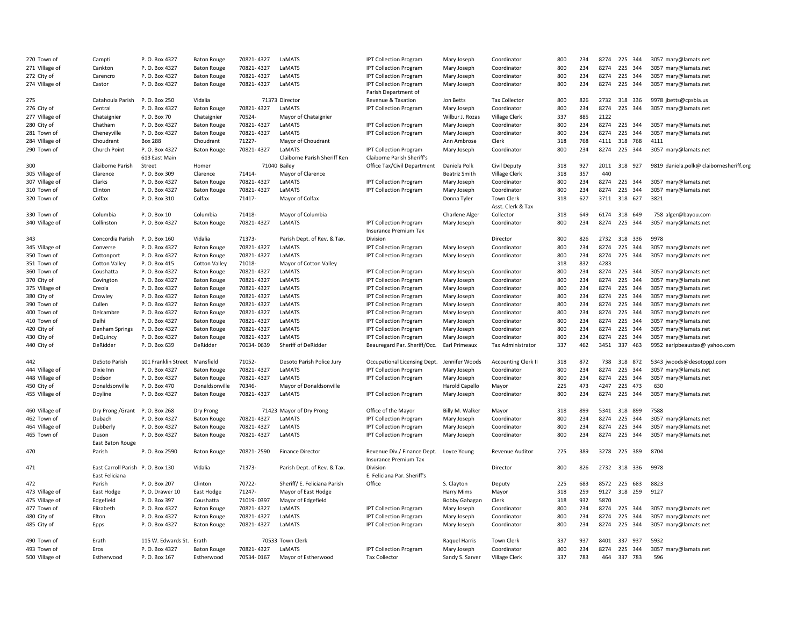| 270 Town of                   | Campti                           | P.O. Box 4327                 | <b>Baton Rouge</b>   | 70821-4327 | LaMATS                                | <b>IPT Collection Program</b>            | Mary Joseph          | Coordinator                | 800 | 234 | 8274 | 225 344      | 3057 mary@lamats.net                    |
|-------------------------------|----------------------------------|-------------------------------|----------------------|------------|---------------------------------------|------------------------------------------|----------------------|----------------------------|-----|-----|------|--------------|-----------------------------------------|
| 271 Village of                | Cankton                          | P.O. Box 4327                 | <b>Baton Rouge</b>   | 70821-4327 | LaMATS                                | <b>IPT Collection Program</b>            | Mary Joseph          | Coordinator                | 800 | 234 | 8274 | 225 344      | 3057 mary@lamats.net                    |
| 272 City of                   | Carencro                         | P. O. Box 4327                | <b>Baton Rouge</b>   | 70821-4327 | LaMATS                                | <b>IPT Collection Program</b>            | Mary Joseph          | Coordinator                | 800 | 234 | 8274 | 225 344      | 3057 mary@lamats.net                    |
| 274 Village of                | Castor                           | P.O. Box 4327                 | <b>Baton Rouge</b>   | 70821-4327 | LaMATS                                | <b>IPT Collection Program</b>            | Mary Joseph          | Coordinator                | 800 | 234 | 8274 | 225 344      | 3057 mary@lamats.net                    |
|                               |                                  |                               |                      |            |                                       | Parish Department of                     |                      |                            |     |     |      |              |                                         |
| 275                           | Catahoula Parish                 | P. O. Box 250                 | Vidalia              |            | 71373 Director                        | Revenue & Taxation                       | Jon Betts            | <b>Tax Collector</b>       | 800 | 826 |      | 2732 318 336 | 9978 jbetts@cpsbla.us                   |
| 276 City of                   | Central                          | P.O. Box 4327                 | <b>Baton Rouge</b>   | 70821-4327 | LaMATS                                | <b>IPT Collection Program</b>            | Mary Joseph          | Coordinator                | 800 | 234 | 8274 | 225<br>344   | 3057 mary@lamats.net                    |
| 277 Village of                | Chataignier                      | P.O. Box 70                   | Chataignier          | 70524-     | Mayor of Chataignier                  |                                          | Wilbur J. Rozas      | Village Clerk              | 337 | 885 | 2122 |              |                                         |
| 280 City of                   | Chatham                          | P.O. Box 4327                 | <b>Baton Rouge</b>   | 70821-4327 | LaMATS                                | <b>IPT Collection Program</b>            | Mary Joseph          | Coordinator                | 800 | 234 |      | 8274 225 344 | 3057 mary@lamats.net                    |
| 281 Town of                   | Cheneyville                      | P. O. Box 4327                | <b>Baton Rouge</b>   | 70821-4327 | LaMATS                                | <b>IPT Collection Program</b>            | Mary Joseph          | Coordinator                | 800 | 234 |      | 8274 225 344 | 3057 mary@lamats.net                    |
| 284 Village of                | Choudrant                        | <b>Box 288</b>                | Choudrant            | 71227-     | Mayor of Choudrant                    |                                          | Ann Ambrose          | Clerk                      | 318 | 768 |      | 4111 318 768 | 4111                                    |
| 290 Town of                   | Church Point                     | P. O. Box 4327                | <b>Baton Rouge</b>   | 70821-4327 | LaMATS                                | <b>IPT Collection Program</b>            | Mary Joseph          | Coordinator                | 800 | 234 | 8274 | 225 344      | 3057 mary@lamats.net                    |
|                               |                                  | 613 East Main                 |                      |            | Claiborne Parish Sheriff Ken          | Claiborne Parish Sheriff's               |                      |                            |     |     |      |              |                                         |
| 300                           | Claiborne Parish                 | Street                        | Homer                |            | 71040 Bailey                          | Office Tax/Civil Department              | Daniela Polk         | Civil Deputy               | 318 | 927 |      | 2011 318 927 | 9819 daniela.polk@ claibornesheriff.org |
| 305 Village of                | Clarence                         | P.O. Box 309                  | Clarence             | 71414-     | Mayor of Clarence                     |                                          | <b>Beatriz Smith</b> | Village Clerk              | 318 | 357 | 440  |              |                                         |
| 307 Village of                | Clarks                           | P.O. Box 4327                 | <b>Baton Rouge</b>   | 70821-4327 | LaMATS                                | <b>IPT Collection Program</b>            | Mary Joseph          | Coordinator                | 800 | 234 |      | 8274 225 344 | 3057 mary@lamats.net                    |
| 310 Town of                   | Clinton                          | P.O. Box 4327                 | <b>Baton Rouge</b>   | 70821-4327 | LaMATS                                | <b>IPT Collection Program</b>            | Mary Joseph          | Coordinator                | 800 | 234 | 8274 | 225<br>344   | 3057 mary@lamats.net                    |
| 320 Town of                   | Colfax                           | P.O. Box 310                  | Colfax               | 71417-     | Mayor of Colfax                       |                                          | Donna Tyler          | <b>Town Clerk</b>          | 318 | 627 |      | 3711 318 627 | 3821                                    |
|                               |                                  |                               |                      |            |                                       |                                          |                      | Asst. Clerk & Tax          |     |     |      |              |                                         |
| 330 Town of                   | Columbia                         | P. O. Box 10                  | Columbia             | 71418-     | Mayor of Columbia                     |                                          | Charlene Alger       | Collector                  | 318 | 649 |      | 6174 318 649 | 758 alger@bayou.com                     |
| 340 Village of                | Collinston                       | P. O. Box 4327                | <b>Baton Rouge</b>   | 70821-4327 | LaMATS                                | <b>IPT Collection Program</b>            | Mary Joseph          | Coordinator                | 800 | 234 | 8274 | 225 344      | 3057 mary@lamats.net                    |
|                               |                                  |                               |                      |            |                                       | <b>Insurance Premium Tax</b>             |                      |                            |     |     |      |              |                                         |
| 343                           | Concordia Parish                 | P. O. Box 160                 | Vidalia              | 71373-     |                                       | Division                                 |                      | Director                   | 800 | 826 |      | 2732 318 336 | 9978                                    |
|                               |                                  |                               |                      | 70821-4327 | Parish Dept. of Rev. & Tax.<br>LaMATS |                                          |                      |                            | 800 | 234 | 8274 | 225 344      |                                         |
| 345 Village of                | Converse                         | P.O. Box 4327                 | <b>Baton Rouge</b>   |            |                                       | <b>IPT Collection Program</b>            | Mary Joseph          | Coordinator                | 800 | 234 |      |              | 3057 mary@lamats.net                    |
| 350 Town of                   | Cottonport                       | P. O. Box 4327                | <b>Baton Rouge</b>   | 70821-4327 | LaMATS                                | IPT Collection Program                   | Mary Joseph          | Coordinator                |     |     | 4283 | 8274 225 344 | 3057 mary@lamats.net                    |
| 351 Town of                   | <b>Cotton Valley</b>             | P.O. Box 415                  | <b>Cotton Valley</b> | 71018-     | Mayor of Cotton Valley                |                                          |                      |                            | 318 | 832 |      |              |                                         |
| 360 Town of                   | Coushatta                        | P.O. Box 4327                 | <b>Baton Rouge</b>   | 70821-4327 | LaMATS                                | <b>IPT Collection Program</b>            | Mary Joseph          | Coordinator                | 800 | 234 | 8274 | 225 344      | 3057 mary@lamats.net                    |
| 370 City of                   | Covington                        | P.O. Box 4327                 | <b>Baton Rouge</b>   | 70821-4327 | LaMATS                                | <b>IPT Collection Program</b>            | Mary Joseph          | Coordinator                | 800 | 234 | 8274 | 225 344      | 3057 mary@lamats.net                    |
| 375 Village of                | Creola                           | P.O. Box 4327                 | <b>Baton Rouge</b>   | 70821-4327 | LaMATS                                | <b>IPT Collection Program</b>            | Mary Joseph          | Coordinator                | 800 | 234 | 8274 | 225 344      | 3057 mary@lamats.net                    |
| 380 City of                   | Crowley                          | P.O. Box 4327                 | <b>Baton Rouge</b>   | 70821-4327 | LaMATS                                | <b>IPT Collection Program</b>            | Mary Joseph          | Coordinator                | 800 | 234 | 8274 | 225 344      | 3057 mary@lamats.net                    |
| 390 Town of                   | Cullen                           | P.O. Box 4327                 | <b>Baton Rouge</b>   | 70821-4327 | LaMATS                                | <b>IPT Collection Program</b>            | Mary Joseph          | Coordinator                | 800 | 234 | 8274 | 225 344      | 3057 mary@lamats.net                    |
| 400 Town of                   | Delcambre                        | P.O. Box 4327                 | <b>Baton Rouge</b>   | 70821-4327 | LaMATS                                | <b>IPT Collection Program</b>            | Mary Joseph          | Coordinator                | 800 | 234 | 8274 | 225<br>344   | 3057 mary@lamats.net                    |
| 410 Town of                   | Delhi                            | P.O. Box 4327                 | <b>Baton Rouge</b>   | 70821-4327 | LaMATS                                | <b>IPT Collection Program</b>            | Mary Joseph          | Coordinator                | 800 | 234 | 8274 | 225 344      | 3057 mary@lamats.net                    |
| 420 City of                   | Denham Springs                   | P. O. Box 4327                | <b>Baton Rouge</b>   | 70821-4327 | LaMATS                                | <b>IPT Collection Program</b>            | Mary Joseph          | Coordinator                | 800 | 234 | 8274 | 225 344      | 3057 mary@lamats.net                    |
| 430 City of                   | DeQuincy                         | P.O. Box 4327                 | <b>Baton Rouge</b>   | 70821-4327 | LaMATS                                | <b>IPT Collection Program</b>            | Mary Joseph          | Coordinator                | 800 | 234 | 8274 | 225 344      | 3057 mary@lamats.net                    |
| 440 City of                   | DeRidder                         | P.O. Box 639                  | DeRidder             | 70634-0639 | Sheriff of DeRidder                   | Beauregard Par. Sheriff/Occ.             | Earl Primeaux        | Tax Administrator          | 337 | 462 | 3451 | 337 463      | 9952 earlpbeaustax@ yahoo.com           |
| 442                           | DeSoto Parish                    | 101 Franklin Street Mansfield |                      | 71052-     | Desoto Parish Police Jury             | Occupational Licensing Dept.             | Jennifer Woods       | <b>Accounting Clerk II</b> | 318 | 872 | 738  | 318 872      | 5343 jwoods@desotoppJ.com               |
| 444 Village of                | Dixie Inn                        | P.O. Box 4327                 | <b>Baton Rouge</b>   | 70821-4327 | LaMATS                                | <b>IPT Collection Program</b>            | Mary Joseph          | Coordinator                | 800 | 234 | 8274 | 225 344      | 3057 mary@lamats.net                    |
| 448 Village of                | Dodson                           | P. O. Box 4327                | <b>Baton Rouge</b>   | 70821-4327 | LaMATS                                | <b>IPT Collection Program</b>            | Mary Joseph          | Coordinator                | 800 | 234 | 8274 | 225 344      | 3057 mary@lamats.net                    |
| 450 City of                   | Donaldsonville                   | P.O. Box 470                  | Donaldsonville       | 70346-     | Mayor of Donaldsonville               |                                          | Harold Capello       | Mayor                      | 225 | 473 | 4247 | 225 473      | 630                                     |
| 455 Village of                | Doyline                          | P.O. Box 4327                 | <b>Baton Rouge</b>   | 70821-4327 | LaMATS                                | <b>IPT Collection Program</b>            | Mary Joseph          | Coordinator                | 800 | 234 | 8274 | 225<br>344   | 3057 mary@lamats.net                    |
|                               |                                  | P. O. Box 268                 |                      |            |                                       |                                          |                      |                            | 318 | 899 |      | 5341 318 899 |                                         |
| 460 Village of<br>462 Town of | Dry Prong / Grant<br>Dubach      | P. O. Box 4327                | Dry Prong            | 70821-4327 | 71423 Mayor of Dry Prong<br>LaMATS    | Office of the Mayor                      | Billy M. Walker      | Mayor<br>Coordinator       | 800 | 234 | 8274 | 225 344      | 7588                                    |
|                               |                                  |                               | <b>Baton Rouge</b>   | 70821-4327 | LaMATS                                | <b>IPT Collection Program</b>            | Mary Joseph          |                            | 800 | 234 | 8274 | 225 344      | 3057 mary@lamats.net                    |
| 464 Village of                | Dubberly                         | P. O. Box 4327                | <b>Baton Rouge</b>   | 70821-4327 |                                       | <b>IPT Collection Program</b>            | Mary Joseph          | Coordinator                | 800 | 234 | 8274 | 225 344      | 3057 mary@lamats.net                    |
| 465 Town of                   | Duson                            | P.O. Box 4327                 | <b>Baton Rouge</b>   |            | LaMATS                                | <b>IPT Collection Program</b>            | Mary Joseph          | Coordinator                |     |     |      |              | 3057 mary@lamats.net                    |
| 470                           | East Baton Rouge<br>Parish       | P.O. Box 2590                 | <b>Baton Rouge</b>   | 70821-2590 | <b>Finance Director</b>               | Revenue Div./ Finance Dept. Loyce Young  |                      | Revenue Auditor            | 225 | 389 |      | 3278 225 389 | 8704                                    |
| 471                           | East Carroll Parish P.O. Box 130 |                               | Vidalia              | 71373-     | Parish Dept. of Rev. & Tax.           | <b>Insurance Premium Tax</b><br>Division |                      | Director                   | 800 | 826 |      | 2732 318 336 | 9978                                    |
|                               | East Feliciana                   |                               |                      |            |                                       | E. Feliciana Par. Sheriff's              |                      |                            |     |     |      |              |                                         |
| 472                           | Parish                           | P. O. Box 207                 | Clinton              | 70722-     | Sheriff/ E. Feliciana Parish          | Office                                   | S. Clayton           | Deputy                     | 225 | 683 |      | 8572 225 683 | 8823                                    |
| 473 Village of                | East Hodge                       | P.O. Drawer 10                | East Hodge           | 71247-     | Mayor of East Hodge                   |                                          | Harry Mims           | Mayor                      | 318 | 259 | 9127 | 318 259      | 9127                                    |
| 475 Village of                | Edgefield                        | P.O. Box 397                  | Coushatta            | 71019-0397 | Mayor of Edgefield                    |                                          | <b>Bobby Gahagan</b> | Clerk                      | 318 | 932 | 5870 |              |                                         |
| 477 Town of                   | Elizabeth                        | P.O. Box 4327                 | <b>Baton Rouge</b>   | 70821-4327 | LaMATS                                | <b>IPT Collection Program</b>            | Mary Joseph          | Coordinator                | 800 | 234 | 8274 | 225 344      | 3057 mary@lamats.net                    |
| 480 City of                   | Elton                            | P.O. Box 4327                 | <b>Baton Rouge</b>   | 70821-4327 | LaMATS                                | <b>IPT Collection Program</b>            | Mary Joseph          | Coordinator                | 800 | 234 | 8274 | 225<br>344   | 3057 mary@lamats.net                    |
| 485 City of                   | Epps                             | P.O. Box 4327                 | <b>Baton Rouge</b>   | 70821-4327 | LaMATS                                | <b>IPT Collection Program</b>            | Mary Joseph          | Coordinator                | 800 | 234 |      | 8274 225 344 | 3057 mary@lamats.net                    |
| 490 Town of                   | Erath                            | 115 W. Edwards St. Erath      |                      |            | 70533 Town Clerk                      |                                          | Raquel Harris        | <b>Town Clerk</b>          | 337 | 937 |      | 8401 337 937 | 5932                                    |
| 493 Town of                   | Eros                             | P.O. Box 4327                 | <b>Baton Rouge</b>   | 70821-4327 | LaMATS                                | <b>IPT Collection Program</b>            | Mary Joseph          | Coordinator                | 800 | 234 |      | 8274 225 344 | 3057 mary@lamats.net                    |
| 500 Village of                | Estherwood                       | P. O. Box 167                 | Estherwood           | 70534-0167 | Mayor of Estherwood                   | <b>Tax Collector</b>                     | Sandy S. Sarver      | Village Clerk              | 337 | 783 | 464  | 337 783      | 596                                     |
|                               |                                  |                               |                      |            |                                       |                                          |                      |                            |     |     |      |              |                                         |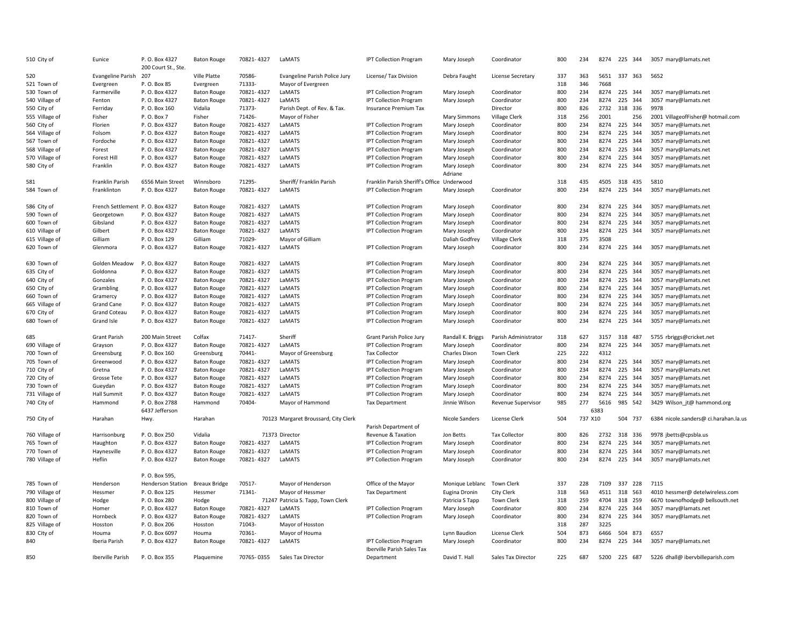| 510 City of                   | Eunice                          | P. O. Box 4327                     | <b>Baton Rouge</b>               | 70821-4327 | LaMATS                               | <b>IPT Collection Program</b>                               | Mary Joseph                  | Coordinator                | 800        | 234        |              | 8274 225 344       | 3057 mary@lamats.net                  |
|-------------------------------|---------------------------------|------------------------------------|----------------------------------|------------|--------------------------------------|-------------------------------------------------------------|------------------------------|----------------------------|------------|------------|--------------|--------------------|---------------------------------------|
|                               |                                 | 200 Court St., Ste.                |                                  |            |                                      |                                                             |                              |                            |            |            |              |                    |                                       |
| 520                           | <b>Evangeline Parish</b>        | 207                                | Ville Platte                     | 70586-     | Evangeline Parish Police Jury        | License/ Tax Division                                       | Debra Faught                 | License Secretary          | 337        | 363        | 5651         | 337 363            | 5652                                  |
| 521 Town of                   | Evergreen                       | P.O. Box 85                        | Evergreen                        | 71333-     | Mayor of Evergreen                   |                                                             |                              |                            | 318        | 346        | 7668         |                    |                                       |
| 530 Town of                   | Farmerville                     | P. O. Box 4327                     | <b>Baton Rouge</b>               | 70821-4327 | LaMATS                               | <b>IPT Collection Program</b>                               | Mary Joseph                  | Coordinator                | 800        | 234        | 8274         | 225 344            | 3057 mary@lamats.net                  |
| 540 Village of                | Fenton                          | P. O. Box 4327                     | <b>Baton Rouge</b>               | 70821-4327 | LaMATS                               | <b>IPT Collection Program</b>                               | Mary Joseph                  | Coordinator                | 800        | 234        | 8274         | 225<br>344         | 3057 mary@lamats.net                  |
| 550 City of                   | Ferriday                        | P. O. Box 160                      | Vidalia                          | 71373-     | Parish Dept. of Rev. & Tax.          | <b>Insurance Premium Tax</b>                                |                              | Director                   | 800        | 826        | 2732         | 318 336            | 9978                                  |
| 555 Village of                | Fisher                          | P. O. Box 7                        | Fisher                           | 71426-     | Mayor of Fisher                      |                                                             | <b>Mary Simmons</b>          | Village Clerk              | 318        | 256        | 2001         | 256                | 2001 VillageofFisher@ hotmail.com     |
| 560 City of                   | Florien                         | P.O. Box 4327                      | <b>Baton Rouge</b>               | 70821-4327 | LaMATS                               | <b>IPT Collection Program</b>                               | Mary Joseph                  | Coordinator                | 800<br>800 | 234        | 8274<br>8274 | 225 344<br>225     | 3057 mary@lamats.net                  |
| 564 Village of                | Folsom                          | P. O. Box 4327                     | <b>Baton Rouge</b>               | 70821-4327 | LaMATS                               | IPT Collection Program                                      | Mary Joseph                  | Coordinator                |            | 234        |              | 344                | 3057 mary@lamats.net                  |
| 567 Town of                   | Fordoche                        | P. O. Box 4327                     | <b>Baton Rouge</b>               | 70821-4327 | LaMATS                               | <b>IPT Collection Program</b>                               | Mary Joseph                  | Coordinator                | 800        | 234        | 8274         | 225<br>344         | 3057 mary@lamats.net                  |
| 568 Village of                | Forest                          | P. O. Box 4327                     | <b>Baton Rouge</b>               | 70821-4327 | LaMATS                               | <b>IPT Collection Program</b>                               | Mary Joseph                  | Coordinator                | 800        | 234        | 8274         | 225<br>344         | 3057 mary@lamats.net                  |
| 570 Village of                | <b>Forest Hill</b>              | P. O. Box 4327                     | <b>Baton Rouge</b>               | 70821-4327 | LaMATS                               | <b>IPT Collection Program</b>                               | Mary Joseph                  | Coordinator                | 800        | 234        | 8274         | 225<br>344         | 3057 mary@lamats.net                  |
| 580 City of                   | Franklin                        | P. O. Box 4327                     | <b>Baton Rouge</b>               | 70821-4327 | LaMATS                               | <b>IPT Collection Program</b>                               | Mary Joseph                  | Coordinator                | 800        | 234        | 8274         | 225 344            | 3057 mary@lamats.net                  |
|                               | Franklin Parish                 |                                    |                                  | 71295-     |                                      |                                                             | Adriane                      |                            | 318        |            | 4505         |                    |                                       |
| 581<br>584 Town of            | Franklinton                     | 6556 Main Street<br>P. O. Box 4327 | Winnsboro                        | 70821-4327 | Sheriff/Franklin Parish<br>LaMATS    | Franklin Parish Sheriff's Office Underwood                  |                              | Coordinator                | 800        | 435<br>234 | 8274         | 318 435<br>225 344 | 5810                                  |
|                               |                                 |                                    | <b>Baton Rouge</b>               |            |                                      | <b>IPT Collection Program</b>                               | Mary Joseph                  |                            |            |            |              |                    | 3057 mary@lamats.net                  |
| 586 City of                   | French Settlement P.O. Box 4327 |                                    | <b>Baton Rouge</b>               | 70821-4327 | LaMATS                               | <b>IPT Collection Program</b>                               | Mary Joseph                  | Coordinator                | 800        | 234        | 8274         | 225 344            | 3057 mary@lamats.net                  |
| 590 Town of                   | Georgetown                      | P. O. Box 4327                     | <b>Baton Rouge</b>               | 70821-4327 | LaMATS                               | <b>IPT Collection Program</b>                               | Mary Joseph                  | Coordinator                | 800        | 234        | 8274         | 225<br>344         | 3057 mary@lamats.net                  |
| 600 Town of                   | Gibsland                        | P. O. Box 4327                     | <b>Baton Rouge</b>               | 70821-4327 | LaMATS                               | <b>IPT Collection Program</b>                               | Mary Joseph                  | Coordinator                | 800        | 234        | 8274         | 225 344            | 3057 mary@lamats.net                  |
| 610 Village of                | Gilbert                         | P. O. Box 4327                     | <b>Baton Rouge</b>               | 70821-4327 | LaMATS                               | <b>IPT Collection Program</b>                               | Mary Joseph                  | Coordinator                | 800        | 234        | 8274         | 225 344            | 3057 mary@lamats.net                  |
| 615 Village of                | Gilliam                         | P. O. Box 129                      | Gilliam                          | 71029-     | Mayor of Gilliam                     |                                                             | Daliah Godfrey               | <b>Village Clerk</b>       | 318        | 375        | 3508         |                    |                                       |
| 620 Town of                   | Glenmora                        | P. O. Box 4327                     | <b>Baton Rouge</b>               | 70821-4327 | LaMATS                               | <b>IPT Collection Program</b>                               | Mary Joseph                  | Coordinator                | 800        | 234        | 8274         | 225 344            | 3057 mary@lamats.net                  |
| 630 Town of                   | Golden Meadow                   | P. O. Box 4327                     | <b>Baton Rouge</b>               | 70821-4327 | LaMATS                               | <b>IPT Collection Program</b>                               | Mary Joseph                  | Coordinator                | 800        | 234        | 8274         | 225 344            | 3057 mary@lamats.net                  |
| 635 City of                   | Goldonna                        | P. O. Box 4327                     | <b>Baton Rouge</b>               | 70821-4327 | LaMATS                               | <b>IPT Collection Program</b>                               | Mary Joseph                  | Coordinator                | 800        | 234        | 8274         | 225<br>344         | 3057 mary@lamats.net                  |
| 640 City of                   | Gonzales                        | P. O. Box 4327                     | <b>Baton Rouge</b>               | 70821-4327 | LaMATS                               | <b>IPT Collection Program</b>                               | Mary Joseph                  | Coordinator                | 800        | 234        | 8274         | 225<br>344         | 3057 mary@lamats.net                  |
| 650 City of                   | Grambling                       | P. O. Box 4327                     | <b>Baton Rouge</b>               | 70821-4327 | LaMATS                               | <b>IPT Collection Program</b>                               | Mary Joseph                  | Coordinator                | 800        | 234        | 8274         | 225<br>344         | 3057 mary@lamats.net                  |
| 660 Town of                   | Gramercy                        | P. O. Box 4327                     | <b>Baton Rouge</b>               | 70821-4327 | LaMATS                               | <b>IPT Collection Program</b>                               | Mary Joseph                  | Coordinator                | 800        | 234        | 8274         | 225<br>344         | 3057 mary@lamats.net                  |
| 665 Village of                | <b>Grand Cane</b>               | P. O. Box 4327                     | <b>Baton Rouge</b>               | 70821-4327 | LaMATS                               | <b>IPT Collection Program</b>                               | Mary Joseph                  | Coordinator                | 800        | 234        | 8274         | 225 344            | 3057 mary@lamats.net                  |
| 670 City of                   | <b>Grand Coteau</b>             | P.O. Box 4327                      | <b>Baton Rouge</b>               | 70821-4327 | LaMATS                               | <b>IPT Collection Program</b>                               | Mary Joseph                  | Coordinator                | 800        | 234        | 8274         | 225<br>344         | 3057 mary@lamats.net                  |
| 680 Town of                   | Grand Isle                      | P. O. Box 4327                     | <b>Baton Rouge</b>               | 70821-4327 | LaMATS                               | <b>IPT Collection Program</b>                               | Mary Joseph                  | Coordinator                | 800        | 234        | 8274         | 225<br>344         | 3057 mary@lamats.net                  |
| 685                           | <b>Grant Parish</b>             | 200 Main Street                    | Colfax                           | 71417-     | Sheriff                              | Grant Parish Police Jury                                    | Randall K. Briggs            | Parish Administrator       | 318        | 627        | 3157         | 318 487            | 5755 rbriggs@cricket.net              |
| 690 Village of                | Grayson                         | P. O. Box 4327                     | <b>Baton Rouge</b>               | 70821-4327 | LaMATS                               | <b>IPT Collection Program</b>                               |                              | Coordinator                | 800        | 234        | 8274         | 225 344            | 3057 mary@lamats.net                  |
| 700 Town of                   |                                 | P.O. Box 160                       |                                  | 70441-     |                                      | <b>Tax Collector</b>                                        | Mary Joseph<br>Charles Dixon | Town Clerk                 | 225        | 222        | 4312         |                    |                                       |
| 705 Town of                   | Greensburg<br>Greenwood         | P. O. Box 4327                     | Greensburg<br><b>Baton Rouge</b> | 70821-4327 | Mayor of Greensburg<br>LaMATS        | <b>IPT Collection Program</b>                               | Mary Joseph                  | Coordinator                | 800        | 234        | 8274         | 225 344            | 3057 mary@lamats.net                  |
|                               |                                 |                                    |                                  | 70821-4327 | LaMATS                               |                                                             |                              |                            | 800        | 234        | 8274         | 225<br>344         |                                       |
| 710 City of                   | Gretna                          | P. O. Box 4327                     | <b>Baton Rouge</b>               | 70821-4327 | LaMATS                               | <b>IPT Collection Program</b>                               | Mary Joseph                  | Coordinator<br>Coordinator | 800        | 234        | 8274         | 225<br>344         | 3057 mary@lamats.net                  |
| 720 City of                   | Grosse Tete                     | P. O. Box 4327<br>P. O. Box 4327   | <b>Baton Rouge</b>               | 70821-4327 | LaMATS                               | <b>IPT Collection Program</b>                               | Mary Joseph                  |                            | 800        | 234        | 8274         | 225 344            | 3057 mary@lamats.net                  |
| 730 Town of<br>731 Village of | Gueydan                         | P. O. Box 4327                     | <b>Baton Rouge</b>               | 70821-4327 | LaMATS                               | <b>IPT Collection Program</b>                               | Mary Joseph                  | Coordinator                | 800        | 234        | 8274         | 225<br>344         | 3057 mary@lamats.net                  |
|                               | <b>Hall Summit</b>              |                                    | <b>Baton Rouge</b>               | 70404-     |                                      | <b>IPT Collection Program</b>                               | Mary Joseph                  | Coordinator                | 985        | 277        | 5616         | 985 542            | 3057 mary@lamats.net                  |
| 740 City of                   | Hammond                         | P.O. Box 2788<br>6437 Jefferson    | Hammond                          |            | Mayor of Hammond                     | <b>Tax Department</b>                                       | Jinnie Wilson                | Revenue Supervisor         |            |            | 6383         |                    | 3429 Wilson_jt@ hammond.org           |
| 750 City of                   | Harahan                         | Hwy.                               | Harahan                          |            | 70123 Margaret Broussard, City Clerk |                                                             | Nicole Sanders               | License Clerk              | 504        | 737 X10    |              | 504 737            | 6384 nicole.sanders@ ci.harahan.la.u: |
|                               |                                 |                                    |                                  |            |                                      | Parish Department of                                        |                              |                            |            |            |              |                    |                                       |
| 760 Village of                | Harrisonburg                    | P. O. Box 250                      | Vidalia                          |            | 71373 Director                       | Revenue & Taxation                                          | Jon Betts                    | <b>Tax Collector</b>       | 800        | 826        | 2732         | 318 336            | 9978 jbetts@cpsbla.us                 |
| 765 Town of                   | Haughton                        | P. O. Box 4327                     | <b>Baton Rouge</b>               | 70821-4327 | LaMATS                               | IPT Collection Program                                      | Mary Joseph                  | Coordinator                | 800        | 234        | 8274         | 225<br>344         | 3057 mary@lamats.net                  |
| 770 Town of                   | Haynesville                     | P. O. Box 4327                     | <b>Baton Rouge</b>               | 70821-4327 | LaMATS                               | <b>IPT Collection Program</b>                               | Mary Joseph                  | Coordinator                | 800        | 234        | 8274         | 225<br>344         | 3057 mary@lamats.net                  |
| 780 Village of                | Heflin                          | P. O. Box 4327                     | <b>Baton Rouge</b>               | 70821-4327 | LaMATS                               | <b>IPT Collection Program</b>                               | Mary Joseph                  | Coordinator                | 800        | 234        | 8274         | 225<br>344         | 3057 mary@lamats.net                  |
|                               |                                 | P.O. Box 595,                      |                                  |            |                                      |                                                             |                              |                            |            |            |              |                    |                                       |
| 785 Town of                   | Henderson                       | <b>Henderson Station</b>           | <b>Breaux Bridge</b>             | 70517-     | Mayor of Henderson                   | Office of the Mayor                                         | Monique Leblanc              | Town Clerk                 | 337        | 228        | 7109         | 337<br>228         | 7115                                  |
| 790 Village of                | Hessmer                         | P. O. Box 125                      | Hessmer                          | 71341-     | Mayor of Hessmer                     | <b>Tax Department</b>                                       | Eugina Dronin                | <b>City Clerk</b>          | 318        | 563        | 4511         | 318<br>563         | 4010 hessmer@ detelwireless.com       |
| 800 Village of                | Hodge                           | P. O. Box 280                      | Hodge                            |            | 71247 Patricia S. Tapp, Town Clerk   |                                                             | Patricia S Tapp              | <b>Town Clerk</b>          | 318        | 259        | 4704         | 318<br>259         | 6670 townofhodge@ bellsouth.net       |
| 810 Town of                   | Homer                           | P. O. Box 4327                     | <b>Baton Rouge</b>               | 70821-4327 | LaMATS                               | <b>IPT Collection Program</b>                               | Mary Joseph                  | Coordinator                | 800        | 234        | 8274         | 225 344            | 3057 mary@lamats.net                  |
| 820 Town of                   | Hornbeck                        | P. O. Box 4327                     | <b>Baton Rouge</b>               | 70821-4327 | LaMATS                               | <b>IPT Collection Program</b>                               | Mary Joseph                  | Coordinator                | 800        | 234        | 8274         | 225 344            | 3057 mary@lamats.net                  |
| 825 Village of                | Hosston                         | P. O. Box 206                      | Hosston                          | 71043-     | Mayor of Hosston                     |                                                             |                              |                            | 318        | 287        | 3225         |                    |                                       |
| 830 City of                   | Houma                           | P.O. Box 6097                      | Houma                            | 70361-     | Mayor of Houma                       |                                                             | Lynn Baudion                 | License Clerk              | 504        | 873        | 6466         | 504 873            | 6557                                  |
| 840                           | Iberia Parish                   | P. O. Box 4327                     | <b>Baton Rouge</b>               | 70821-4327 | LaMATS                               | <b>IPT Collection Program</b><br>Iberville Parish Sales Tax | Mary Joseph                  | Coordinator                | 800        | 234        | 8274         | 225 344            | 3057 mary@lamats.net                  |
| 850                           | Iberville Parish                | P. O. Box 355                      | Plaquemine                       | 70765-0355 | Sales Tax Director                   | Department                                                  | David T. Hall                | Sales Tax Director         | 225        | 687        | 5200         | 225 687            | 5226 dhall@ ibervbilleparish.com      |
|                               |                                 |                                    |                                  |            |                                      |                                                             |                              |                            |            |            |              |                    |                                       |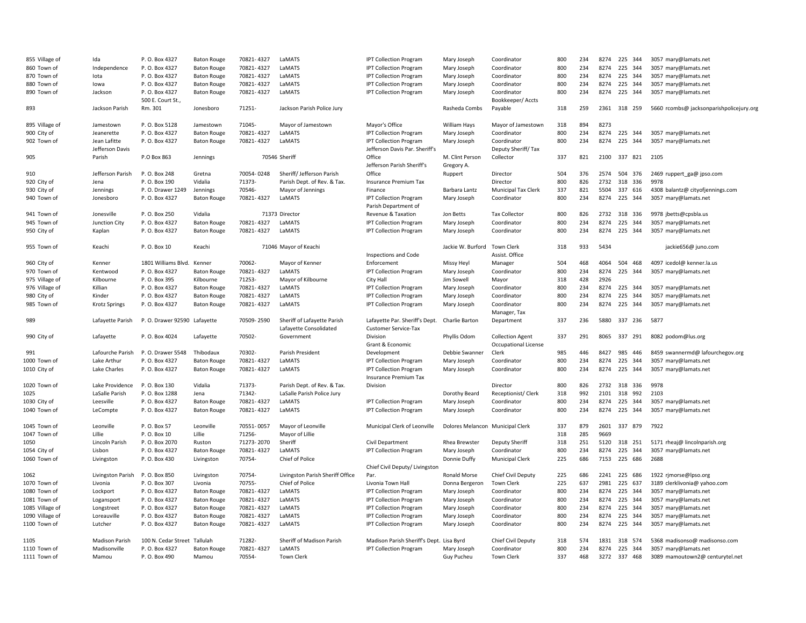| 855 Village of                | Ida                   | P. O. Box 4327               | <b>Baton Rouge</b> | 70821-4327           | LaMATS                                                | <b>IPT Collection Program</b>                          | Mary Joseph                      | Coordinator                                     | 800 | 234        | 8274         | 225     | 344 | 3057 mary@lamats.net                     |
|-------------------------------|-----------------------|------------------------------|--------------------|----------------------|-------------------------------------------------------|--------------------------------------------------------|----------------------------------|-------------------------------------------------|-----|------------|--------------|---------|-----|------------------------------------------|
| 860 Town of                   | Independence          | P. O. Box 4327               | <b>Baton Rouge</b> | 70821-4327           | LaMATS                                                | <b>IPT Collection Program</b>                          | Mary Joseph                      | Coordinator                                     | 800 | 234        | 8274         | 225 344 |     | 3057 mary@lamats.net                     |
| 870 Town of                   | lota                  | P. O. Box 4327               | <b>Baton Rouge</b> | 70821-4327           | LaMATS                                                | <b>IPT Collection Program</b>                          | Mary Joseph                      | Coordinator                                     | 800 | 234        | 8274         | 225 344 |     | 3057 mary@lamats.net                     |
| 880 Town of                   | lowa                  | P. O. Box 4327               | <b>Baton Rouge</b> | 70821-4327           | LaMATS                                                | <b>IPT Collection Program</b>                          | Mary Joseph                      | Coordinator                                     | 800 | 234        | 8274         | 225 344 |     | 3057 mary@lamats.net                     |
| 890 Town of                   | Jackson               | P. O. Box 4327               | <b>Baton Rouge</b> | 70821-4327           | LaMATS                                                | <b>IPT Collection Program</b>                          | Mary Joseph                      | Coordinator                                     | 800 | 234        | 8274         | 225 344 |     | 3057 mary@lamats.net                     |
|                               |                       | 500 E. Court St.,            |                    |                      |                                                       |                                                        |                                  | Bookkeeper/ Accts                               |     |            |              |         |     |                                          |
| 893                           | Jackson Parish        | Rm. 301                      | Jonesboro          | 71251-               | Jackson Parish Police Jury                            |                                                        | Rasheda Combs                    | Payable                                         | 318 | 259        | 2361         | 318 259 |     | 5660 rcombs@ jacksonparishpolicejury.org |
| 895 Village of                | Jamestown             | P. O. Box 5128               | Jamestown          | 71045-               | Mayor of Jamestown                                    | Mayor's Office                                         | William Hays                     | Mayor of Jamestown                              | 318 | 894        | 8273         |         |     |                                          |
| 900 City of                   | Jeanerette            | P. O. Box 4327               | <b>Baton Rouge</b> | 70821-4327           | LaMATS                                                | <b>IPT Collection Program</b>                          | Mary Joseph                      | Coordinator                                     | 800 | 234        | 8274         | 225 344 |     | 3057 mary@lamats.net                     |
| 902 Town of                   | Jean Lafitte          | P. O. Box 4327               | <b>Baton Rouge</b> | 70821-4327           | LaMATS                                                | <b>IPT Collection Program</b>                          | Mary Joseph                      | Coordinator                                     | 800 | 234        | 8274         | 225     | 344 | 3057 mary@lamats.net                     |
|                               | Jefferson Davis       |                              |                    |                      |                                                       | Jefferson Davis Par. Sheriff's                         |                                  | Deputy Sheriff/Tax                              |     |            |              |         |     |                                          |
| 905                           | Parish                | P.O Box 863                  | Jennings           |                      | 70546 Sheriff                                         | Office                                                 | M. Clint Person                  | Collector                                       | 337 | 821        | 2100         | 337 821 |     | 2105                                     |
|                               |                       |                              |                    |                      |                                                       | Jefferson Parish Sheriff's                             | Gregory A.                       |                                                 |     |            |              |         |     |                                          |
| 910                           | Jefferson Parish      | P. O. Box 248                | Gretna             | 70054-0248           | Sheriff/Jefferson Parish                              | Office                                                 | Ruppert                          | Director                                        | 504 | 376        | 2574         | 504     | 376 | 2469 ruppert ga@ jpso.com                |
| 920 City of                   | Jena                  | P. O. Box 190                | Vidalia            | 71373-               | Parish Dept. of Rev. & Tax.                           | Insurance Premium Tax                                  |                                  | Director                                        | 800 | 826        | 2732         | 318     | 336 | 9978                                     |
| 930 City of                   | Jennings              | P. O. Drawer 1249            | Jennings           | 70546-               | Mayor of Jennings                                     | Finance                                                | Barbara Lantz                    | <b>Municipal Tax Clerk</b>                      | 337 | 821        | 5504         | 337     | 616 | 4308 balantz@ cityofjennings.com         |
| 940 Town of                   | Jonesboro             | P. O. Box 4327               | <b>Baton Rouge</b> | 70821-4327           | LaMATS                                                | <b>IPT Collection Program</b><br>Parish Department of  | Mary Joseph                      | Coordinator                                     | 800 | 234        | 8274         | 225 344 |     | 3057 mary@lamats.net                     |
| 941 Town of                   | Jonesville            | P. O. Box 250                | Vidalia            |                      | 71373 Director                                        | Revenue & Taxation                                     | Jon Betts                        | <b>Tax Collector</b>                            | 800 | 826        | 2732         | 318 336 |     | 9978 jbetts@cpsbla.us                    |
| 945 Town of                   | Junction City         | P. O. Box 4327               | <b>Baton Rouge</b> | 70821-4327           | LaMATS                                                | <b>IPT Collection Program</b>                          | Mary Joseph                      | Coordinator                                     | 800 | 234        | 8274         | 225     | 344 | 3057 mary@lamats.net                     |
| 950 City of                   | Kaplan                | P. O. Box 4327               | <b>Baton Rouge</b> | 70821-4327           | LaMATS                                                | <b>IPT Collection Program</b>                          | Mary Joseph                      | Coordinator                                     | 800 | 234        | 8274         | 225 344 |     | 3057 mary@lamats.net                     |
|                               |                       |                              |                    |                      |                                                       |                                                        |                                  |                                                 |     |            |              |         |     |                                          |
| 955 Town of                   | Keachi                | P.O. Box 10                  | Keachi             |                      | 71046 Mayor of Keachi                                 | Inspections and Code                                   | Jackie W. Burford                | <b>Town Clerk</b><br>Assist. Office             | 318 | 933        | 5434         |         |     | jackie656@ juno.com                      |
| 960 City of                   | Kenner                | 1801 Williams Blvd.          | Kenner             | 70062-               | Mayor of Kenner                                       | Enforcement                                            |                                  |                                                 | 504 | 468        | 4064         | 504     | 468 | 4097 icedol@ kenner.la.us                |
|                               |                       |                              |                    |                      |                                                       |                                                        | Missy Heyl                       | Manager                                         |     |            |              |         |     |                                          |
| 970 Town of<br>975 Village of | Kentwood              | P. O. Box 4327               | <b>Baton Rouge</b> | 70821-4327<br>71253- | LaMATS                                                | <b>IPT Collection Program</b>                          | Mary Joseph                      | Coordinator                                     | 800 | 234<br>428 | 8274<br>2926 | 225 344 |     | 3057 mary@lamats.net                     |
|                               | Kilbourne             | P.O. Box 395                 | Kilbourne          |                      | Mayor of Kilbourne                                    | City Hall                                              | Jim Sowell                       | Mayor                                           | 318 |            |              |         |     |                                          |
| 976 Village of                | Killian               | P. O. Box 4327               | <b>Baton Rouge</b> | 70821-4327           | LaMATS                                                | <b>IPT Collection Program</b>                          | Mary Joseph                      | Coordinator                                     | 800 | 234        | 8274         | 225 344 |     | 3057 mary@lamats.net                     |
| 980 City of                   | Kinder                | P. O. Box 4327               | <b>Baton Rouge</b> | 70821-4327           | LaMATS                                                | <b>IPT Collection Program</b>                          | Mary Joseph                      | Coordinator                                     | 800 | 234        | 8274         | 225     | 344 | 3057 mary@lamats.net                     |
| 985 Town of                   | <b>Krotz Springs</b>  | P. O. Box 4327               | <b>Baton Rouge</b> | 70821-4327           | LaMATS                                                | <b>IPT Collection Program</b>                          | Mary Joseph                      | Coordinator<br>Manager, Tax                     | 800 | 234        | 8274         | 225     | 344 | 3057 mary@lamats.net                     |
| 989                           | Lafayette Parish      | P.O. Drawer 92590 Lafayette  |                    | 70509-2590           | Sheriff of Lafayette Parish<br>Lafayette Consolidated | Lafayette Par. Sheriff's Dept.<br>Customer Service-Tax | Charlie Barton                   | Department                                      | 337 | 236        | 5880         | 337 236 |     | 5877                                     |
| 990 City of                   | Lafayette             | P. O. Box 4024               | Lafayette          | 70502-               | Government                                            | Division<br>Grant & Economic                           | Phyllis Odom                     | <b>Collection Agent</b><br>Occupational License | 337 | 291        | 8065         | 337 291 |     | 8082 podom@lus.org                       |
| 991                           | Lafourche Parish      | P. O. Drawer 5548            | Thibodaux          | 70302-               | Parish President                                      | Development                                            | Debbie Swanner                   | Clerk                                           | 985 | 446        | 8427         | 985     | 446 | 8459 swannermd@ lafourchegov.org         |
| 1000 Town of                  | Lake Arthur           | P. O. Box 4327               | <b>Baton Rouge</b> | 70821-4327           | LaMATS                                                | <b>IPT Collection Program</b>                          | Mary Joseph                      | Coordinator                                     | 800 | 234        | 8274         | 225     | 344 | 3057 mary@lamats.net                     |
| 1010 City of                  | Lake Charles          | P. O. Box 4327               | <b>Baton Rouge</b> | 70821-4327           | LaMATS                                                | <b>IPT Collection Program</b>                          | Mary Joseph                      | Coordinator                                     | 800 | 234        | 8274         | 225 344 |     | 3057 mary@lamats.net                     |
|                               |                       |                              |                    |                      |                                                       | <b>Insurance Premium Tax</b>                           |                                  |                                                 |     |            |              |         |     |                                          |
| 1020 Town of                  | Lake Providence       | P.O. Box 130                 | Vidalia            | 71373-               | Parish Dept. of Rev. & Tax.                           | Division                                               |                                  | Director                                        | 800 | 826        | 2732         | 318 336 |     | 9978                                     |
| 1025                          | LaSalle Parish        | P. O. Box 1288               | Jena               | 71342-               | LaSalle Parish Police Jury                            |                                                        | Dorothy Beard                    | Receptionist/ Clerk                             | 318 | 992        | 2101         | 318 992 |     | 2103                                     |
| 1030 City of                  | Leesville             | P. O. Box 4327               | <b>Baton Rouge</b> | 70821-4327           | LaMATS                                                | <b>IPT Collection Program</b>                          | Mary Joseph                      | Coordinator                                     | 800 | 234        | 8274         | 225 344 |     | 3057 mary@lamats.net                     |
| 1040 Town of                  | LeCompte              | P. O. Box 4327               | <b>Baton Rouge</b> | 70821-4327           | LaMATS                                                | <b>IPT Collection Program</b>                          | Mary Joseph                      | Coordinator                                     | 800 | 234        | 8274         | 225 344 |     | 3057 mary@lamats.net                     |
|                               |                       |                              |                    |                      |                                                       |                                                        |                                  |                                                 |     |            |              |         |     |                                          |
| 1045 Town of                  | Leonville             | P. O. Box 57                 | Leonville          | 70551-0057           | Mayor of Leonville                                    | Municipal Clerk of Leonville                           | Dolores Melancon Municipal Clerk |                                                 | 337 | 879        | 2601         | 337 879 |     | 7922                                     |
| 1047 Town of                  | Lillie                | P.O. Box 10                  | Lillie             | 71256-               | Mayor of Lillie                                       |                                                        |                                  |                                                 | 318 | 285        | 9669         |         |     |                                          |
| 1050                          | Lincoln Parish        | P.O. Box 2070                | Ruston             | 71273-2070           | Sheriff                                               | Civil Department                                       | Rhea Brewster                    | <b>Deputy Sheriff</b>                           | 318 | 251        | 5120         | 318 251 |     | 5171 rheaj@ lincolnparish.org            |
| 1054 City of                  | Lisbon                | P. O. Box 4327               | <b>Baton Rouge</b> | 70821-4327           | LaMATS                                                | <b>IPT Collection Program</b>                          | Mary Joseph                      | Coordinator                                     | 800 | 234        | 8274         | 225 344 |     | 3057 mary@lamats.net                     |
| 1060 Town of                  | Livingston            | P.O. Box 430                 | Livingston         | 70754-               | Chief of Police                                       |                                                        | Donnie Duffy                     | <b>Municipal Clerk</b>                          | 225 | 686        | 7153         | 225 686 |     | 2688                                     |
|                               |                       |                              |                    |                      |                                                       | Chief Civil Deputy/ Livingston                         |                                  |                                                 |     |            |              |         |     |                                          |
| 1062                          | Livingston Parish     | P.O. Box 850                 | Livingston         | 70754-               | Livingston Parish Sheriff Office                      | Par.                                                   | Ronald Morse                     | <b>Chief Civil Deputy</b>                       | 225 | 686        | 2241         | 225 686 |     | 1922 rjmorse@lpso.org                    |
| 1070 Town of                  | Livonia               | P.O. Box 307                 | Livonia            | 70755-               | Chief of Police                                       | Livonia Town Hall                                      | Donna Bergeron                   | Town Clerk                                      | 225 | 637        | 2981         | 225 637 |     | 3189 clerklivonia@ yahoo.com             |
| 1080 Town of                  | Lockport              | P. O. Box 4327               | <b>Baton Rouge</b> | 70821-4327           | LaMATS                                                | <b>IPT Collection Program</b>                          | Mary Joseph                      | Coordinator                                     | 800 | 234        | 8274         | 225 344 |     | 3057 mary@lamats.net                     |
| 1081 Town of                  | Logansport            | P. O. Box 4327               | <b>Baton Rouge</b> | 70821-4327           | LaMATS                                                | <b>IPT Collection Program</b>                          | Mary Joseph                      | Coordinator                                     | 800 | 234        | 8274         | 225 344 |     | 3057 mary@lamats.net                     |
| 1085 Village of               | Longstreet            | P. O. Box 4327               | <b>Baton Rouge</b> | 70821-4327           | LaMATS                                                | <b>IPT Collection Program</b>                          | Mary Joseph                      | Coordinator                                     | 800 | 234        | 8274         | 225 344 |     | 3057 mary@lamats.net                     |
| 1090 Village of               | Loreauville           | P. O. Box 4327               | <b>Baton Rouge</b> | 70821-4327           | LaMATS                                                | <b>IPT Collection Program</b>                          | Mary Joseph                      | Coordinator                                     | 800 | 234        | 8274         | 225 344 |     | 3057 mary@lamats.net                     |
| 1100 Town of                  | Lutcher               | P. O. Box 4327               | <b>Baton Rouge</b> | 70821-4327           | LaMATS                                                | <b>IPT Collection Program</b>                          | Mary Joseph                      | Coordinator                                     | 800 | 234        | 8274         | 225 344 |     | 3057 mary@lamats.net                     |
|                               |                       |                              |                    |                      |                                                       |                                                        |                                  |                                                 |     |            |              |         |     |                                          |
| 1105                          | <b>Madison Parish</b> | 100 N. Cedar Street Tallulah |                    | 71282-               | Sheriff of Madison Parish                             | Madison Parish Sheriff's Dept. Lisa Byrd               |                                  | Chief Civil Deputy                              | 318 | 574        | 1831         | 318 574 |     | 5368 madisonso@ madisonso.com            |
| 1110 Town of                  | Madisonville          | P. O. Box 4327               | <b>Baton Rouge</b> | 70821-4327           | LaMATS                                                | <b>IPT Collection Program</b>                          | Mary Joseph                      | Coordinator                                     | 800 | 234        | 8274         | 225     | 344 | 3057 mary@lamats.net                     |
| 1111 Town of                  | Mamou                 | P. O. Box 490                | Mamou              | 70554-               | <b>Town Clerk</b>                                     |                                                        | Guy Pucheu                       | <b>Town Clerk</b>                               | 337 | 468        | 3272         | 337     | 468 | 3089 mamoutown2@ centurytel.net          |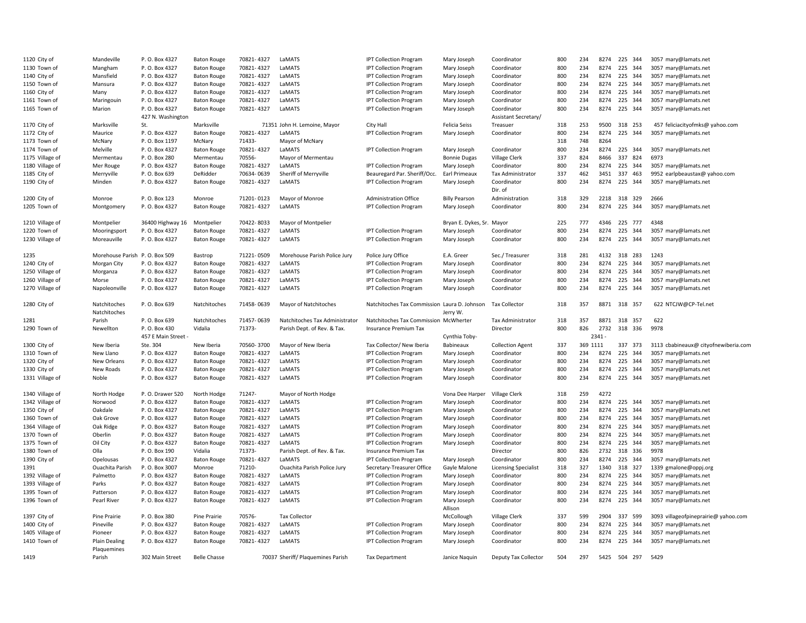| 1120 City of    | Mandeville                    | P. O. Box 4327    | <b>Baton Rouge</b>  | 70821-4327 | LaMATS                            | <b>IPT Collection Program</b>                | Mary Joseph               | Coordinator                 | 800 | 234        | 8274         | 225 344      | 3057 mary@lamats.net                 |
|-----------------|-------------------------------|-------------------|---------------------|------------|-----------------------------------|----------------------------------------------|---------------------------|-----------------------------|-----|------------|--------------|--------------|--------------------------------------|
| 1130 Town of    | Mangham                       | P. O. Box 4327    | <b>Baton Rouge</b>  | 70821-4327 | LaMATS                            | <b>IPT Collection Program</b>                | Mary Joseph               | Coordinator                 | 800 | 234        | 8274         | 225 344      | 3057 mary@lamats.net                 |
| 1140 City of    | Mansfield                     | P. O. Box 4327    | <b>Baton Rouge</b>  | 70821-4327 | LaMATS                            | <b>IPT Collection Program</b>                | Mary Joseph               | Coordinator                 | 800 | 234        | 8274         | 225 344      | 3057 mary@lamats.net                 |
| 1150 Town of    | Mansura                       | P. O. Box 4327    | <b>Baton Rouge</b>  | 70821-4327 | LaMATS                            | <b>IPT Collection Program</b>                | Mary Joseph               | Coordinator                 | 800 | 234        | 8274         | 225 344      | 3057 mary@lamats.net                 |
| 1160 City of    | Many                          | P.O. Box 4327     | <b>Baton Rouge</b>  | 70821-4327 | LaMATS                            | <b>IPT Collection Program</b>                | Mary Joseph               | Coordinator                 | 800 | 234        | 8274         | 225 344      | 3057 mary@lamats.net                 |
| 1161 Town of    | Maringouin                    | P. O. Box 4327    | <b>Baton Rouge</b>  | 70821-4327 | LaMATS                            | <b>IPT Collection Program</b>                | Mary Joseph               | Coordinator                 | 800 | 234        | 8274         | 225 344      | 3057 mary@lamats.net                 |
| 1165 Town of    | Marion                        | P. O. Box 4327    | <b>Baton Rouge</b>  | 70821-4327 | LaMATS                            | <b>IPT Collection Program</b>                | Mary Joseph               | Coordinator                 | 800 | 234        | 8274         | 225 344      | 3057 mary@lamats.net                 |
|                 |                               | 427 N. Washingtor |                     |            |                                   |                                              |                           | Assistant Secretary/        |     |            |              |              |                                      |
| 1170 City of    | Marksville                    | St.               | Marksville          |            | 71351 John H. Lemoine, Mayor      | City Hall                                    | Felicia Seiss             | Treasuer                    | 318 | 253        | 9500         | 318 253      | 457 feliciacityofmks@ yahoo.com      |
| 1172 City of    | Maurice                       | P.O. Box 4327     | <b>Baton Rouge</b>  | 70821-4327 | LaMATS                            | <b>IPT Collection Program</b>                | Mary Joseph               | Coordinator                 | 800 | 234        | 8274         | 225 344      | 3057 mary@lamats.net                 |
|                 |                               | P. O. Box 1197    |                     | 71433-     |                                   |                                              |                           |                             | 318 | 748        | 8264         |              |                                      |
| 1173 Town of    | McNary                        |                   | McNary              |            | Mayor of McNary                   |                                              |                           |                             |     |            |              |              |                                      |
| 1174 Town of    | Melville                      | P. O. Box 4327    | <b>Baton Rouge</b>  | 70821-4327 | LaMATS                            | <b>IPT Collection Program</b>                | Mary Joseph               | Coordinator                 | 800 | 234        | 8274         | 225 344      | 3057 mary@lamats.net                 |
| 1175 Village of | Mermentau                     | P.O. Box 280      | Mermentau           | 70556-     | Mayor of Mermentau                |                                              | <b>Bonnie Dugas</b>       | <b>Village Clerk</b>        | 337 | 824        | 8466         | 337 824      | 6973                                 |
| 1180 Village of | Mer Rouge                     | P. O. Box 4327    | <b>Baton Rouge</b>  | 70821-4327 | LaMATS                            | <b>IPT Collection Program</b>                | Mary Joseph               | Coordinator                 | 800 | 234        | 8274         | 225 344      | 3057 mary@lamats.net                 |
| 1185 City of    | Merryville                    | P.O. Box 639      | DeRidder            | 70634-0639 | Sheriff of Merryville             | Beauregard Par. Sheriff/Occ.                 | Earl Primeaux             | Tax Administrator           | 337 | 462        | 3451         | 337 463      | 9952 earlpbeaustax@ yahoo.com        |
| 1190 City of    | Minden                        | P. O. Box 4327    | <b>Baton Rouge</b>  | 70821-4327 | LaMATS                            | <b>IPT Collection Program</b>                | Mary Joseph               | Coordinator<br>Dir. of      | 800 | 234        | 8274         | 225 344      | 3057 mary@lamats.net                 |
| 1200 City of    | Monroe                        | P.O. Box 123      | Monroe              | 71201-0123 | Mayor of Monroe                   | <b>Administration Office</b>                 | <b>Billy Pearson</b>      | Administration              | 318 | 329        | 2218         | 318 329      | 2666                                 |
| 1205 Town of    | Montgomery                    | P. O. Box 4327    | <b>Baton Rouge</b>  | 70821-4327 | LaMATS                            | <b>IPT Collection Program</b>                | Mary Joseph               | Coordinator                 | 800 | 234        | 8274         | 225 344      | 3057 mary@lamats.net                 |
|                 |                               |                   |                     |            |                                   |                                              |                           |                             |     |            |              |              |                                      |
| 1210 Village of | Montpelier                    | 36400 Highway 16  | Montpelier          | 70422-8033 | Mayor of Montpelier               |                                              | Bryan E. Dykes, Sr. Mayor |                             | 225 | 777        |              | 4346 225 777 | 4348                                 |
| 1220 Town of    | Mooringsport                  | P. O. Box 4327    | <b>Baton Rouge</b>  | 70821-4327 | LaMATS                            | <b>IPT Collection Program</b>                | Mary Joseph               | Coordinator                 | 800 | 234        | 8274         | 225 344      | 3057 mary@lamats.net                 |
| 1230 Village of | Moreauville                   | P. O. Box 4327    | <b>Baton Rouge</b>  | 70821-4327 | LaMATS                            | <b>IPT Collection Program</b>                | Mary Joseph               | Coordinator                 | 800 | 234        | 8274         | 225 344      | 3057 mary@lamats.net                 |
|                 |                               |                   |                     |            |                                   |                                              |                           |                             |     |            |              |              |                                      |
| 1235            | Morehouse Parish P.O. Box 509 |                   | Bastrop             | 71221-0509 | Morehouse Parish Police Jury      | Police Jury Office                           | E.A. Greer                | Sec./ Treasurer             | 318 | 281        | 4132         | 318 283      | 1243                                 |
| 1240 City of    | Morgan City                   | P. O. Box 4327    | <b>Baton Rouge</b>  | 70821-4327 | LaMATS                            | <b>IPT Collection Program</b>                | Mary Joseph               | Coordinator                 | 800 | 234        | 8274         | 225 344      | 3057 mary@lamats.net                 |
| 1250 Village of | Morganza                      | P. O. Box 4327    | <b>Baton Rouge</b>  | 70821-4327 | LaMATS                            | <b>IPT Collection Program</b>                | Mary Joseph               | Coordinator                 | 800 | 234        | 8274         | 225 344      | 3057 mary@lamats.net                 |
| 1260 Village of | Morse                         | P.O. Box 4327     | <b>Baton Rouge</b>  | 70821-4327 | LaMATS                            | <b>IPT Collection Program</b>                | Mary Joseph               | Coordinator                 | 800 | 234        | 8274         | 225 344      | 3057 mary@lamats.net                 |
| 1270 Village of |                               | P.O. Box 4327     |                     | 70821-4327 | LaMATS                            |                                              |                           |                             | 800 | 234        |              | 8274 225 344 | 3057 mary@lamats.net                 |
|                 | Napoleonville                 |                   | <b>Baton Rouge</b>  |            |                                   | <b>IPT Collection Program</b>                | Mary Joseph               | Coordinator                 |     |            |              |              |                                      |
|                 |                               |                   |                     |            |                                   |                                              |                           |                             |     |            |              |              |                                      |
| 1280 City of    | Natchitoches                  | P. O. Box 639     | Natchitoches        | 71458-0639 | Mayor of Natchitoches             | Natchitoches Tax Commission Laura D. Johnson |                           | <b>Tax Collector</b>        | 318 | 357        |              | 8871 318 357 | 622 NTCJW@CP-Tel.net                 |
|                 | Natchitoches                  |                   |                     |            |                                   |                                              | Jerry W.                  |                             |     |            |              |              |                                      |
| 1281            | Parish                        | P.O. Box 639      | Natchitoches        | 71457-0639 | Natchitoches Tax Administrator    | Natchitoches Tax Commission McWherter        |                           | Tax Administrator           | 318 | 357        | 8871         | 318 357      | 622                                  |
| 1290 Town of    | Newellton                     | P.O. Box 430      | Vidalia             | 71373-     | Parish Dept. of Rev. & Tax.       | Insurance Premium Tax                        |                           | Director                    | 800 | 826        | 2732         | 318 336      | 9978                                 |
|                 |                               | 457 E Main Street |                     |            |                                   |                                              | Cynthia Toby-             |                             |     |            | $2341 -$     |              |                                      |
| 1300 City of    | New Iberia                    | Ste. 304          | New Iberia          | 70560-3700 | Mayor of New Iberia               | Tax Collector/ New Iberia                    | Babineaux                 | <b>Collection Agent</b>     | 337 | 369 1111   |              | 337 373      | 3113 cbabineaux@ cityofnewiberia.com |
| 1310 Town of    | New Llano                     | P.O. Box 4327     | <b>Baton Rouge</b>  | 70821-4327 | LaMATS                            | <b>IPT Collection Program</b>                | Mary Joseph               | Coordinator                 | 800 | 234        | 8274         | 225 344      | 3057 mary@lamats.net                 |
| 1320 City of    | New Orleans                   | P. O. Box 4327    | <b>Baton Rouge</b>  | 70821-4327 | LaMATS                            | <b>IPT Collection Program</b>                | Mary Joseph               | Coordinator                 | 800 | 234        | 8274         | 225 344      | 3057 mary@lamats.net                 |
| 1330 City of    | New Roads                     | P. O. Box 4327    | <b>Baton Rouge</b>  | 70821-4327 | LaMATS                            | <b>IPT Collection Program</b>                | Mary Joseph               | Coordinator                 | 800 | 234        | 8274         | 225 344      | 3057 mary@lamats.net                 |
| 1331 Village of | Noble                         | P. O. Box 4327    | <b>Baton Rouge</b>  | 70821-4327 | LaMATS                            | <b>IPT Collection Program</b>                | Mary Joseph               | Coordinator                 | 800 | 234        | 8274         | 225 344      | 3057 mary@lamats.net                 |
|                 |                               |                   |                     |            |                                   |                                              |                           |                             |     |            |              |              |                                      |
| 1340 Village of | North Hodge                   | P. O. Drawer 520  | North Hodge         | 71247-     | Mayor of North Hodge              |                                              | Vona Dee Harper           | Village Clerk               | 318 | 259        | 4272         |              |                                      |
| 1342 Village of | Norwood                       | P. O. Box 4327    | <b>Baton Rouge</b>  | 70821-4327 | LaMATS                            | <b>IPT Collection Program</b>                | Mary Joseph               | Coordinator                 | 800 | 234        | 8274         | 225 344      | 3057 mary@lamats.net                 |
| 1350 City of    | Oakdale                       | P. O. Box 4327    | <b>Baton Rouge</b>  | 70821-4327 | LaMATS                            | <b>IPT Collection Program</b>                | Mary Joseph               | Coordinator                 | 800 | 234        | 8274         | 225 344      | 3057 mary@lamats.net                 |
| 1360 Town of    | Oak Grove                     | P. O. Box 4327    | <b>Baton Rouge</b>  | 70821-4327 | LaMATS                            | <b>IPT Collection Program</b>                | Mary Joseph               | Coordinator                 | 800 | 234        | 8274         | 225 344      | 3057 mary@lamats.net                 |
| 1364 Village of | Oak Ridge                     | P.O. Box 4327     | <b>Baton Rouge</b>  | 70821-4327 | LaMATS                            | <b>IPT Collection Program</b>                | Mary Joseph               | Coordinator                 | 800 | 234        | 8274         | 225 344      | 3057 mary@lamats.net                 |
| 1370 Town of    | Oberlin                       | P.O. Box 4327     | <b>Baton Rouge</b>  | 70821-4327 | LaMATS                            | <b>IPT Collection Program</b>                | Mary Joseph               | Coordinator                 | 800 | 234        | 8274         | 225 344      | 3057 mary@lamats.net                 |
| 1375 Town of    | Oil City                      | P. O. Box 4327    | <b>Baton Rouge</b>  | 70821-4327 | LaMATS                            | <b>IPT Collection Program</b>                | Mary Joseph               | Coordinator                 | 800 | 234        | 8274         | 225 344      | 3057 mary@lamats.net                 |
| 1380 Town of    | Olla                          | P. O. Box 190     | Vidalia             | 71373-     | Parish Dept. of Rev. & Tax.       | Insurance Premium Tax                        |                           | Director                    | 800 | 826        | 2732         | 318 336      | 9978                                 |
| 1390 City of    | Opelousas                     | P. O. Box 4327    | <b>Baton Rouge</b>  | 70821-4327 | LaMATS                            | <b>IPT Collection Program</b>                | Mary Joseph               | Coordinator                 | 800 | 234        | 8274         | 225 344      | 3057 mary@lamats.net                 |
| 1391            | Ouachita Parish               | P.O. Box 3007     | Monroe              | 71210-     |                                   | Secretary-Treasurer Office                   | Gayle Malone              |                             | 318 | 327        | 1340         | 318 327      |                                      |
|                 |                               |                   |                     |            | Ouachita Parish Police Jury       |                                              |                           | <b>Licensing Specialist</b> |     |            |              |              | 1339 gmalone@oppj.org                |
| 1392 Village of | Palmetto                      | P.O. Box 4327     | <b>Baton Rouge</b>  | 70821-4327 | LaMATS                            | <b>IPT Collection Program</b>                | Mary Joseph               | Coordinator                 | 800 | 234<br>234 | 8274<br>8274 | 225 344      | 3057 mary@lamats.net                 |
| 1393 Village of | Parks                         | P. O. Box 4327    | <b>Baton Rouge</b>  | 70821-4327 | LaMATS                            | <b>IPT Collection Program</b>                | Mary Joseph               | Coordinator                 | 800 |            |              | 225 344      | 3057 mary@lamats.net                 |
| 1395 Town of    | Patterson                     | P. O. Box 4327    | <b>Baton Rouge</b>  | 70821-4327 | LaMATS                            | <b>IPT Collection Program</b>                | Mary Joseph               | Coordinator                 | 800 | 234        | 8274         | 225 344      | 3057 mary@lamats.net                 |
| 1396 Town of    | Pearl River                   | P.O. Box 4327     | <b>Baton Rouge</b>  | 70821-4327 | LaMATS                            | <b>IPT Collection Program</b>                | Mary Joseph               | Coordinator                 | 800 | 234        | 8274         | 225 344      | 3057 mary@lamats.net                 |
|                 | Pine Prairie                  | P.O. Box 380      | Pine Prairie        | 70576-     | <b>Tax Collector</b>              |                                              | Allison                   |                             | 337 | 599        | 2904         | 337 599      |                                      |
| 1397 City of    | Pineville                     |                   |                     | 70821-4327 | LaMATS                            |                                              | McCollough                | Village Clerk               | 800 | 234        | 8274         | 225 344      | 3093 villageofpineprairie@ yahoo.com |
| 1400 City of    |                               | P. O. Box 4327    | <b>Baton Rouge</b>  |            | LaMATS                            | <b>IPT Collection Program</b>                | Mary Joseph               | Coordinator                 |     |            |              |              | 3057 mary@lamats.net                 |
| 1405 Village of | Pioneer                       | P. O. Box 4327    | <b>Baton Rouge</b>  | 70821-4327 |                                   | <b>IPT Collection Program</b>                | Mary Joseph               | Coordinator                 | 800 | 234        | 8274         | 225 344      | 3057 mary@lamats.net                 |
| 1410 Town of    | <b>Plain Dealing</b>          | P.O. Box 4327     | <b>Baton Rouge</b>  | 70821-4327 | LaMATS                            | <b>IPT Collection Program</b>                | Mary Joseph               | Coordinator                 | 800 | 234        | 8274         | 225 344      | 3057 mary@lamats.net                 |
| 1419            | Plaquemines<br>Parish         | 302 Main Street   | <b>Belle Chasse</b> |            | 70037 Sheriff/ Plaguemines Parish | <b>Tax Department</b>                        | Janice Naguin             | Deputy Tax Collector        | 504 | 297        |              | 5425 504 297 | 5429                                 |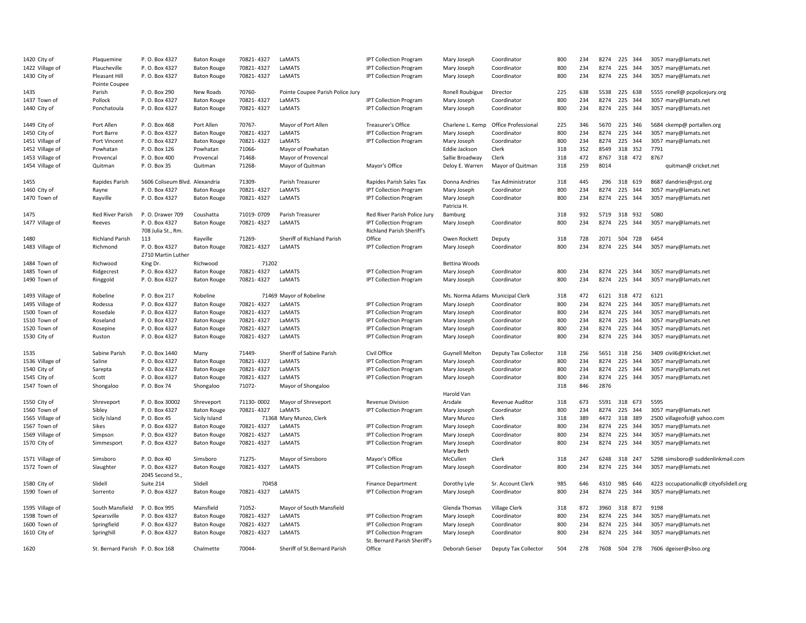| 1420 City of                    | Plaquemine                       | P. O. Box 4327                      | <b>Baton Rouge</b>                       | 70821-4327               | LaMATS                           | <b>IPT Collection Program</b>                                     | Mary Joseph                     | Coordinator                | 800        | 234        | 8274         | 225 344                  | 3057 mary@lamats.net                         |
|---------------------------------|----------------------------------|-------------------------------------|------------------------------------------|--------------------------|----------------------------------|-------------------------------------------------------------------|---------------------------------|----------------------------|------------|------------|--------------|--------------------------|----------------------------------------------|
| 1422 Village of                 | Plaucheville                     | P.O. Box 4327                       | <b>Baton Rouge</b>                       | 70821-4327               | LaMATS                           | <b>IPT Collection Program</b>                                     | Mary Joseph                     | Coordinator                | 800        | 234        | 8274         | 225<br>344               | 3057 mary@lamats.net                         |
| 1430 City of                    | Pleasant Hill<br>Pointe Coupee   | P. O. Box 4327                      | <b>Baton Rouge</b>                       | 70821-4327               | LaMATS                           | <b>IPT Collection Program</b>                                     | Mary Joseph                     | Coordinator                | 800        | 234        | 8274         | 225 344                  | 3057 mary@lamats.net                         |
| 1435                            | Parish                           | P. O. Box 290                       | New Roads                                | 70760-                   | Pointe Coupee Parish Police Jury |                                                                   | Ronell Roubigue                 | Director                   | 225        | 638        | 5538         | 225 638                  | 5555 ronell@ pcpolicejury.org                |
| 1437 Town of                    | Pollock                          | P. O. Box 4327                      | <b>Baton Rouge</b>                       | 70821-4327               | <b>LAMATS</b>                    | <b>IPT Collection Program</b>                                     | Mary Joseph                     | Coordinator                | 800        | 234        | 8274         | 225<br>344               | 3057 mary@lamats.net                         |
| 1440 City of                    | Ponchatoula                      | P.O. Box 4327                       | <b>Baton Rouge</b>                       | 70821-4327               | LaMATS                           | <b>IPT Collection Program</b>                                     | Mary Joseph                     | Coordinator                | 800        | 234        | 8274         | 225 344                  | 3057 mary@lamats.net                         |
| 1449 City of                    | Port Allen                       | P. O. Box 468                       | Port Allen                               | 70767-                   | Mayor of Port Allen              | Treasurer's Office                                                | Charlene L. Kemp                | Office Professional        | 225        | 346        | 5670         | 225 346                  | 5684 ckemp@ portallen.org                    |
| 1450 City of                    | Port Barre                       | P. O. Box 4327                      | <b>Baton Rouge</b>                       | 70821-4327               | LaMATS                           | <b>IPT Collection Program</b>                                     | Mary Joseph                     | Coordinator                | 800        | 234        | 8274         | 225<br>344               | 3057 mary@lamats.net                         |
| 1451 Village of                 | Port Vincent                     | P. O. Box 4327                      | <b>Baton Rouge</b>                       | 70821-4327               | LaMATS                           | <b>IPT Collection Program</b>                                     | Mary Joseph                     | Coordinator                | 800        | 234        | 8274         | 225<br>344               | 3057 mary@lamats.net                         |
| 1452 Village of                 | Powhatan                         | P.O. Box 126                        | Powhatan                                 | 71066-                   | Mayor of Powhatan                |                                                                   | Eddie Jackson                   | Clerk                      | 318        | 352        | 8549         | 318 352                  | 7791                                         |
| 1453 Village of                 | Provencal                        | P.O. Box 400                        | Provencal                                | 71468-                   | Mayor of Provencal               |                                                                   | Sallie Broadway                 | Clerk                      | 318        | 472        | 8767         | 318 472                  | 8767                                         |
| 1454 Village of                 | Quitman                          | P.O. Box 35                         | Quitman                                  | 71268-                   | Mayor of Quitman                 | Mayor's Office                                                    | Deloy E. Warren                 | Mayor of Quitman           | 318        | 259        | 8014         |                          | quitman@ cricket.net                         |
| 1455                            | Rapides Parish                   | 5606 Coliseum Blvd. Alexandria      |                                          | 71309-                   | Parish Treasurer                 | Rapides Parish Sales Tax                                          | Donna Andries                   | <b>Tax Administrator</b>   | 318        | 445        | 296          | 318 619                  | 8687 dandries@rpst.org                       |
| 1460 City of                    | Rayne                            | P. O. Box 4327                      | <b>Baton Rouge</b>                       | 70821-4327               | LaMATS                           | <b>IPT Collection Program</b>                                     | Mary Joseph                     | Coordinator                | 800        | 234        | 8274         | 225<br>344               | 3057 mary@lamats.net                         |
| 1470 Town of                    | Rayville                         | P.O. Box 4327                       | <b>Baton Rouge</b>                       | 70821-4327               | LaMATS                           | <b>IPT Collection Program</b>                                     | Mary Joseph<br>Patricia H.      | Coordinator                | 800        | 234        | 8274         | 225 344                  | 3057 mary@lamats.net                         |
| 1475                            | Red River Parish                 | P. O. Drawer 709                    | Coushatta                                | 71019-0709               | Parish Treasurer                 | Red River Parish Police Jury                                      | Bamburg                         |                            | 318        | 932        | 5719         | 318<br>932               | 5080                                         |
| 1477 Village of                 | Reeves                           | P.O. Box 4327<br>708 Julia St., Rm. | <b>Baton Rouge</b>                       | 70821-4327               | LaMATS                           | <b>IPT Collection Program</b><br><b>Richland Parish Sheriff's</b> | Mary Joseph                     | Coordinator                | 800        | 234        | 8274         | 225<br>344               | 3057 mary@lamats.net                         |
| 1480                            | <b>Richland Parish</b>           | 113                                 | Rayville                                 | 71269-                   | Sheriff of Richland Parish       | Office                                                            | Owen Rockett                    | Deputy                     | 318        | 728        | 2071         | 504 728                  | 6454                                         |
| 1483 Village of                 | Richmond                         | P.O. Box 4327<br>2710 Martin Luther | <b>Baton Rouge</b>                       | 70821-4327               | LaMATS                           | <b>IPT Collection Program</b>                                     | Mary Joseph                     | Coordinator                | 800        | 234        | 8274         | 225<br>344               | 3057 mary@lamats.net                         |
| 1484 Town of                    | Richwood                         | King Dr.                            | Richwood                                 | 71202                    |                                  |                                                                   | <b>Bettina Woods</b>            |                            |            |            |              |                          |                                              |
| 1485 Town of                    | Ridgecrest                       | P.O. Box 4327                       | <b>Baton Rouge</b>                       | 70821-4327               | LaMATS                           | <b>IPT Collection Program</b>                                     | Mary Joseph                     | Coordinator                | 800        | 234        | 8274         | 225<br>344               | 3057 mary@lamats.net                         |
| 1490 Town of                    | Ringgold                         | P.O. Box 4327                       | <b>Baton Rouge</b>                       | 70821-4327               | LaMATS                           | <b>IPT Collection Program</b>                                     | Mary Joseph                     | Coordinator                | 800        | 234        | 8274         | 225<br>344               | 3057 mary@lamats.net                         |
| 1493 Village of                 | Robeline                         | P. O. Box 217                       | Robeline                                 |                          | 71469 Mayor of Robeline          |                                                                   | Ms. Norma Adams Municipal Clerk |                            | 318        | 472        | 6121         | 318 472                  | 6121                                         |
| 1495 Village of                 | Rodessa                          | P. O. Box 4327                      | <b>Baton Rouge</b>                       | 70821-4327               | LaMATS                           | <b>IPT Collection Program</b>                                     | Mary Joseph                     | Coordinator                | 800        | 234        | 8274         | 225<br>344               | 3057 mary@lamats.net                         |
| 1500 Town of                    | Rosedale                         | P.O. Box 4327                       | <b>Baton Rouge</b>                       | 70821-4327               | LaMATS                           | <b>IPT Collection Program</b>                                     | Mary Joseph                     | Coordinator                | 800        | 234        | 8274         | 225<br>344               | 3057 mary@lamats.net                         |
| 1510 Town of                    | Roseland                         | P.O. Box 4327                       | <b>Baton Rouge</b>                       | 70821-4327               | LaMATS                           | <b>IPT Collection Program</b>                                     | Mary Joseph                     | Coordinator                | 800        | 234        | 8274         | 225<br>344               | 3057 mary@lamats.net                         |
| 1520 Town of                    | Rosepine                         | P.O. Box 4327                       | <b>Baton Rouge</b>                       | 70821-4327               | LaMATS                           | <b>IPT Collection Program</b>                                     | Mary Joseph                     | Coordinator                | 800        | 234        | 8274         | 225<br>344               | 3057 mary@lamats.net                         |
| 1530 City of                    | Ruston                           | P.O. Box 4327                       | <b>Baton Rouge</b>                       | 70821-4327               | LaMATS                           | <b>IPT Collection Program</b>                                     | Mary Joseph                     | Coordinator                | 800        | 234        | 8274         | 225 344                  | 3057 mary@lamats.net                         |
| 1535                            | Sabine Parish                    | P.O. Box 1440                       | Many                                     | 71449-                   | Sheriff of Sabine Parish         | Civil Office                                                      | <b>Guynell Melton</b>           | Deputy Tax Collector       | 318        | 256        | 5651         | 318 256                  | 3409 civil6@Kricket.net                      |
| 1536 Village of                 | Saline                           | P.O. Box 4327                       | <b>Baton Rouge</b>                       | 70821-4327               | LaMATS                           | <b>IPT Collection Program</b>                                     | Mary Joseph                     | Coordinator                | 800        | 234        | 8274         | 225<br>344               | 3057 mary@lamats.net                         |
| 1540 City of                    | Sarepta                          | P.O. Box 4327                       | <b>Baton Rouge</b>                       | 70821-4327               | LaMATS                           | <b>IPT Collection Program</b>                                     | Mary Joseph                     | Coordinator                | 800        | 234        | 8274         | 225<br>344               | 3057 mary@lamats.net                         |
| 1545 City of                    | Scott                            | P. O. Box 4327                      | <b>Baton Rouge</b>                       | 70821-4327               | LaMATS                           | <b>IPT Collection Program</b>                                     | Mary Joseph                     | Coordinator                | 800        | 234        | 8274         | 225 344                  | 3057 mary@lamats.net                         |
| 1547 Town of                    | Shongaloo                        | P. O. Box 74                        | Shongaloo                                | 71072-                   | Mayor of Shongaloo               |                                                                   |                                 |                            | 318        | 846        | 2876         |                          |                                              |
|                                 |                                  |                                     |                                          |                          |                                  |                                                                   | Harold Van                      |                            |            | 673        | 5591         | 318<br>673               | 5595                                         |
| 1550 City of                    | Shreveport                       | P.O. Box 30002                      | Shreveport                               | 71130-0002<br>70821-4327 | Mayor of Shreveport              | <b>Revenue Division</b>                                           | Arsdale                         | Revenue Auditor            | 318        |            |              |                          |                                              |
| 1560 Town of                    | Sibley                           | P. O. Box 4327                      | <b>Baton Rouge</b>                       |                          | LaMATS                           | <b>IPT Collection Program</b>                                     | Mary Joseph                     | Coordinator                | 800        | 234        | 8274         | 225 344                  | 3057 mary@lamats.net                         |
| 1565 Village of                 | Sicily Island                    | P.O. Box 45                         | Sicily Island                            |                          | 71368 Mary Munzo, Clerk          |                                                                   | Mary Munzo                      | Clerk                      | 318        | 389        | 4472         | 318 389                  | 2500 villageofsi@ yahoo.com                  |
| 1567 Town of                    | Sikes                            | P. O. Box 4327                      | <b>Baton Rouge</b>                       | 70821-4327               | LaMATS                           | <b>IPT Collection Program</b>                                     | Mary Joseph                     | Coordinator                | 800        | 234        | 8274         | 225 344                  | 3057 mary@lamats.net                         |
| 1569 Village of<br>1570 City of | Simpson<br>Simmesport            | P.O. Box 4327<br>P.O. Box 4327      | <b>Baton Rouge</b><br><b>Baton Rouge</b> | 70821-4327<br>70821-4327 | LaMATS<br>LaMATS                 | <b>IPT Collection Program</b><br><b>IPT Collection Program</b>    | Mary Joseph<br>Mary Joseph      | Coordinator<br>Coordinator | 800<br>800 | 234<br>234 | 8274<br>8274 | 225<br>344<br>225<br>344 | 3057 mary@lamats.net<br>3057 mary@lamats.net |
|                                 |                                  |                                     |                                          |                          |                                  |                                                                   | Mary Beth                       |                            |            |            |              |                          |                                              |
| 1571 Village of                 | Simsboro                         | P.O. Box 40                         | Simsboro                                 | 71275-                   | Mayor of Simsboro                | Mayor's Office                                                    | McCullen                        | Clerk                      | 318        | 247        | 6248         | 318 247                  | 5298 simsboro@ suddenlinkmail.com            |
| 1572 Town of                    | Slaughter                        | P.O. Box 4327<br>2045 Second St.,   | <b>Baton Rouge</b>                       | 70821-4327               | LaMATS                           | <b>IPT Collection Program</b>                                     | Mary Joseph                     | Coordinator                | 800        | 234        | 8274         | 225 344                  | 3057 mary@lamats.net                         |
| 1580 City of                    | Slidell                          | Suite 214                           | Slidell                                  | 70458                    |                                  | <b>Finance Department</b>                                         | Dorothy Lyle                    | Sr. Account Clerk          | 985        | 646        | 4310         | 985<br>646               | 4223 occupationallic@ cityofslidell.org      |
| 1590 Town of                    | Sorrento                         | P.O. Box 4327                       | <b>Baton Rouge</b>                       | 70821-4327               | LaMATS                           | <b>IPT Collection Program</b>                                     | Mary Joseph                     | Coordinator                | 800        | 234        | 8274         | 225 344                  | 3057 mary@lamats.net                         |
| 1595 Village of                 | South Mansfield                  | P. O. Box 995                       | Mansfield                                | 71052-                   | Mayor of South Mansfield         |                                                                   | Glenda Thomas                   | <b>Village Clerk</b>       | 318        | 872        | 3960         | 318 872                  | 9198                                         |
| 1598 Town of                    | Spearsville                      | P.O. Box 4327                       | <b>Baton Rouge</b>                       | 70821-4327               | LaMATS                           | <b>IPT Collection Program</b>                                     | Mary Joseph                     | Coordinator                | 800        | 234        | 8274         | 225<br>344               | 3057 mary@lamats.net                         |
| 1600 Town of                    | Springfield                      | P. O. Box 4327                      | <b>Baton Rouge</b>                       | 70821-4327               | LaMATS                           | <b>IPT Collection Program</b>                                     | Mary Joseph                     | Coordinator                | 800        | 234        | 8274         | 225<br>344               | 3057 mary@lamats.net                         |
| 1610 City of                    | Springhill                       | P.O. Box 4327                       | <b>Baton Rouge</b>                       | 70821-4327               | LaMATS                           | <b>IPT Collection Program</b><br>St. Bernard Parish Sheriff's     | Mary Joseph                     | Coordinator                | 800        | 234        | 8274         | 225 344                  | 3057 mary@lamats.net                         |
| 1620                            | St. Bernard Parish P. O. Box 168 |                                     | Chalmette                                | 70044-                   | Sheriff of St.Bernard Parish     | Office                                                            | Deborah Geiser                  | Deputy Tax Collector       | 504        | 278        | 7608         | 504 278                  | 7606 dgeiser@sbso.org                        |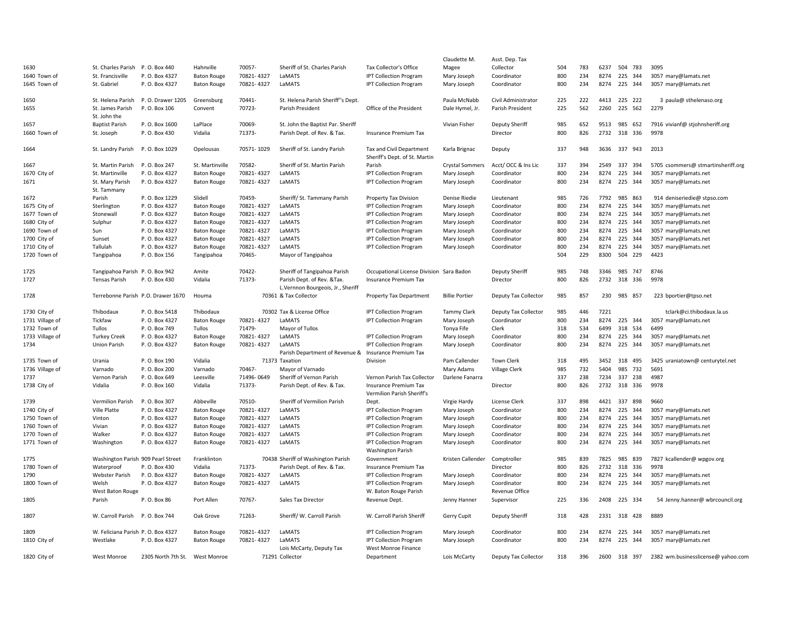|                 |                                    |                                    |                    |            |                                                                  |                                                            | Claudette M.           | Asst. Dep. Tax        |     |     |      |              |                                    |
|-----------------|------------------------------------|------------------------------------|--------------------|------------|------------------------------------------------------------------|------------------------------------------------------------|------------------------|-----------------------|-----|-----|------|--------------|------------------------------------|
| 1630            | St. Charles Parish P.O. Box 440    |                                    | Hahnville          | 70057-     | Sheriff of St. Charles Parish                                    | Tax Collector's Office                                     | Magee                  | Collector             | 504 | 783 | 6237 | 504 783      | 3095                               |
| 1640 Town of    | St. Francisville                   | P.O. Box 4327                      | <b>Baton Rouge</b> | 70821-4327 | LaMATS                                                           | <b>IPT Collection Program</b>                              | Mary Joseph            | Coordinator           | 800 | 234 | 8274 | 225 344      | 3057 mary@lamats.net               |
| 1645 Town of    | St. Gabriel                        | P. O. Box 4327                     | <b>Baton Rouge</b> | 70821-4327 | LaMATS                                                           | <b>IPT Collection Program</b>                              | Mary Joseph            | Coordinator           | 800 | 234 |      | 8274 225 344 | 3057 mary@lamats.net               |
| 1650            |                                    | St. Helena Parish P.O. Drawer 1205 | Greensburg         | 70441-     | St. Helena Parish Sheriff"s Dept.                                |                                                            | Paula McNabb           | Civil Administrator   | 225 | 222 | 4413 | 225 222      | 3 paula@ sthelenaso.org            |
| 1655            | St. James Parish<br>St. John the   | P. O. Box 106                      | Convent            | 70723-     | Parish President                                                 | Office of the President                                    | Dale Hymel, Jr.        | Parish President      | 225 | 562 |      | 2260 225 562 | 2279                               |
| 1657            | <b>Baptist Parish</b>              | P.O. Box 1600                      | LaPlace            | 70069-     | St. John the Baptist Par. Sheriff                                |                                                            | Vivian Fisher          | <b>Deputy Sheriff</b> | 985 | 652 | 9513 | 985<br>652   | 7916 vivianf@ stjohnsheriff.org    |
| 1660 Town of    | St. Joseph                         | P. O. Box 430                      | Vidalia            | 71373-     | Parish Dept. of Rev. & Tax.                                      | <b>Insurance Premium Tax</b>                               |                        | Director              | 800 | 826 |      | 2732 318 336 | 9978                               |
| 1664            | St. Landry Parish P.O. Box 1029    |                                    | Opelousas          | 70571-1029 | Sheriff of St. Landry Parish                                     | Tax and Civil Department<br>Sheriff's Dept. of St. Martin  | Karla Brignac          | Deputy                | 337 | 948 |      | 3636 337 943 | 2013                               |
| 1667            | St. Martin Parish                  | P. O. Box 247                      | St. Martinville    | 70582-     | Sheriff of St. Martin Parish                                     | Parish                                                     | <b>Crystal Sommers</b> | Acct/OCC & Ins Lic    | 337 | 394 | 2549 | 337 394      | 5705 csommers@ stmartinsheriff.org |
| 1670 City of    | St. Martinville                    | P. O. Box 4327                     | <b>Baton Rouge</b> | 70821-4327 | LaMATS                                                           | <b>IPT Collection Program</b>                              | Mary Joseph            | Coordinator           | 800 | 234 | 8274 | 225 344      | 3057 mary@lamats.net               |
| 1671            | St. Mary Parish<br>St. Tammany     | P. O. Box 4327                     | <b>Baton Rouge</b> | 70821-4327 | LaMATS                                                           | <b>IPT Collection Program</b>                              | Mary Joseph            | Coordinator           | 800 | 234 |      | 8274 225 344 | 3057 mary@lamats.net               |
| 1672            | Parish                             | P.O. Box 1229                      | Slidell            | 70459-     | Sheriff/St. Tammany Parish                                       | Property Tax Division                                      | Denise Riedie          | Lieutenant            | 985 | 726 | 7792 | 985 863      | 914 deniseriedie@ stpso.com        |
| 1675 City of    | Sterlington                        | P.O. Box 4327                      | <b>Baton Rouge</b> | 70821-4327 | LaMATS                                                           | <b>IPT Collection Program</b>                              | Mary Joseph            | Coordinator           | 800 | 234 | 8274 | 225 344      | 3057 mary@lamats.net               |
| 1677 Town of    | Stonewall                          | P.O. Box 4327                      | <b>Baton Rouge</b> | 70821-4327 | LaMATS                                                           | <b>IPT Collection Program</b>                              | Mary Joseph            | Coordinator           | 800 | 234 | 8274 | 225 344      | 3057 mary@lamats.net               |
| 1680 City of    | Sulphur                            | P.O. Box 4327                      | <b>Baton Rouge</b> | 70821-4327 | LaMATS                                                           | <b>IPT Collection Program</b>                              | Mary Joseph            | Coordinator           | 800 | 234 | 8274 | 225 344      | 3057 mary@lamats.net               |
| 1690 Town of    | Sun                                | P. O. Box 4327                     | <b>Baton Rouge</b> | 70821-4327 | LaMATS                                                           | <b>IPT Collection Program</b>                              | Mary Joseph            | Coordinator           | 800 | 234 | 8274 | 225 344      | 3057 mary@lamats.net               |
| 1700 City of    | Sunset                             | P.O. Box 4327                      | <b>Baton Rouge</b> | 70821-4327 | LaMATS                                                           | <b>IPT Collection Program</b>                              | Mary Joseph            | Coordinator           | 800 | 234 | 8274 | 225<br>344   | 3057 mary@lamats.net               |
| 1710 City of    | Tallulah                           | P. O. Box 4327                     | <b>Baton Rouge</b> | 70821-4327 | LaMATS                                                           | <b>IPT Collection Program</b>                              | Mary Joseph            | Coordinator           | 800 | 234 | 8274 | 225 344      | 3057 mary@lamats.net               |
| 1720 Town of    | Tangipahoa                         | P.O. Box 156                       | Tangipahoa         | 70465-     | Mayor of Tangipahoa                                              |                                                            |                        |                       | 504 | 229 | 8300 | 504 229      | 4423                               |
| 1725            | Tangipahoa Parish P.O. Box 942     |                                    | Amite              | 70422-     | Sheriff of Tangipahoa Parish                                     | Occupational License Division Sara Badon                   |                        | <b>Deputy Sheriff</b> | 985 | 748 | 3346 | 985 747      | 8746                               |
| 1727            | Tensas Parish                      | P. O. Box 430                      | Vidalia            | 71373-     | Parish Dept. of Rev. & Tax.<br>L.Vernnon Bourgeois, Jr., Sheriff | <b>Insurance Premium Tax</b>                               |                        | Director              | 800 | 826 | 2732 | 318 336      | 9978                               |
| 1728            |                                    | Terrebonne Parish P.O. Drawer 1670 | Houma              |            | 70361 & Tax Collector                                            | Property Tax Department                                    | <b>Billie Portier</b>  | Deputy Tax Collector  | 985 | 857 | 230  | 985 857      | 223 bportier@tpso.net              |
| 1730 City of    | Thibodaux                          | P. O. Box 5418                     | Thibodaux          |            | 70302 Tax & License Office                                       | <b>IPT Collection Program</b>                              | <b>Tammy Clark</b>     | Deputy Tax Collector  | 985 | 446 | 7221 |              | tclark@ci.thibodaux.la.us          |
| 1731 Village of | Tickfaw                            | P. O. Box 4327                     | <b>Baton Rouge</b> | 70821-4327 | LaMATS                                                           | <b>IPT Collection Program</b>                              | Mary Joseph            | Coordinator           | 800 | 234 | 8274 | 225 344      | 3057 mary@lamats.net               |
| 1732 Town of    | Tullos                             | P. O. Box 749                      | Tullos             | 71479-     | Mayor of Tullos                                                  |                                                            | Tonya Fife             | Clerk                 | 318 | 534 | 6499 | 318<br>534   | 6499                               |
| 1733 Village of | <b>Turkey Creek</b>                | P.O. Box 4327                      | <b>Baton Rouge</b> | 70821-4327 | LaMATS                                                           | <b>IPT Collection Program</b>                              | Mary Joseph            | Coordinator           | 800 | 234 | 8274 | 225 344      | 3057 mary@lamats.net               |
| 1734            | <b>Union Parish</b>                | P. O. Box 4327                     | <b>Baton Rouge</b> | 70821-4327 | LaMATS                                                           | <b>IPT Collection Program</b>                              | Mary Joseph            | Coordinator           | 800 | 234 |      | 8274 225 344 | 3057 mary@lamats.net               |
|                 |                                    |                                    |                    |            | Parish Department of Revenue & Insurance Premium Tax             |                                                            |                        |                       |     |     |      |              |                                    |
| 1735 Town of    | Urania                             | P. O. Box 190                      | Vidalia            |            | 71373 Taxation                                                   | Division                                                   | Pam Callender          | Town Clerk            | 318 | 495 | 3452 | 318 495      | 3425 uraniatown@ centurytel.net    |
| 1736 Village of | Varnado                            | P. O. Box 200                      | Varnado            | 70467-     | Mayor of Varnado                                                 |                                                            | Mary Adams             | <b>Village Clerk</b>  | 985 | 732 | 5404 | 985<br>732   | 5691                               |
| 1737            | Vernon Parish                      | P.O. Box 649                       | Leesville          | 71496-0649 | Sheriff of Vernon Parish                                         | Vernon Parish Tax Collector                                | Darlene Fanarra        |                       | 337 | 238 | 7234 | 337 238      | 4987                               |
| 1738 City of    | Vidalia                            | P.O. Box 160                       | Vidalia            | 71373-     | Parish Dept. of Rev. & Tax.                                      | <b>Insurance Premium Tax</b><br>Vermilion Parish Sheriff's |                        | Director              | 800 | 826 |      | 2732 318 336 | 9978                               |
| 1739            | Vermilion Parish                   | P. O. Box 307                      | Abbeville          | 70510-     | Sheriff of Vermilion Parish                                      | Dept.                                                      | Virgie Hardy           | <b>License Clerk</b>  | 337 | 898 |      | 4421 337 898 | 9660                               |
| 1740 City of    | Ville Platte                       | P.O. Box 4327                      | <b>Baton Rouge</b> | 70821-4327 | LaMATS                                                           | <b>IPT Collection Program</b>                              | Mary Joseph            | Coordinator           | 800 | 234 | 8274 | 225<br>344   | 3057 mary@lamats.net               |
| 1750 Town of    | Vinton                             | P. O. Box 4327                     | <b>Baton Rouge</b> | 70821-4327 | LaMATS                                                           | <b>IPT Collection Program</b>                              | Mary Joseph            | Coordinator           | 800 | 234 | 8274 | 225 344      | 3057 mary@lamats.net               |
| 1760 Town of    | Vivian                             | P. O. Box 4327                     | <b>Baton Rouge</b> | 70821-4327 | LaMATS                                                           | <b>IPT Collection Program</b>                              | Mary Joseph            | Coordinator           | 800 | 234 | 8274 | 225 344      | 3057 mary@lamats.net               |
| 1770 Town of    | Walker                             | P.O. Box 4327                      | <b>Baton Rouge</b> | 70821-4327 | LaMATS                                                           | <b>IPT Collection Program</b>                              | Mary Joseph            | Coordinator           | 800 | 234 | 8274 | 225<br>344   | 3057 mary@lamats.net               |
| 1771 Town of    | Washington                         | P.O. Box 4327                      | <b>Baton Rouge</b> | 70821-4327 | LaMATS                                                           | <b>IPT Collection Program</b><br><b>Washington Parish</b>  | Mary Joseph            | Coordinator           | 800 | 234 |      | 8274 225 344 | 3057 mary@lamats.net               |
| 1775            |                                    | Washington Parish 909 Pearl Street | Franklinton        |            | 70438 Sheriff of Washington Parish                               | Government                                                 | Kristen Callender      | Comptroller           | 985 | 839 |      | 7825 985 839 | 7827 kcallender@ wpgov.org         |
| 1780 Town of    | Waterproof                         | P. O. Box 430                      | Vidalia            | 71373-     | Parish Dept. of Rev. & Tax.                                      | <b>Insurance Premium Tax</b>                               |                        | Director              | 800 | 826 | 2732 | 318<br>336   | 9978                               |
| 1790            | Webster Parish                     | P. O. Box 4327                     | <b>Baton Rouge</b> | 70821-4327 | LaMATS                                                           | <b>IPT Collection Program</b>                              | Mary Joseph            | Coordinator           | 800 | 234 | 8274 | 225<br>344   | 3057 mary@lamats.net               |
| 1800 Town of    | Welsh                              | P.O. Box 4327                      | <b>Baton Rouge</b> | 70821-4327 | LaMATS                                                           | <b>IPT Collection Program</b>                              | Mary Joseph            | Coordinator           | 800 | 234 |      | 8274 225 344 | 3057 mary@lamats.net               |
|                 | West Baton Rouge                   |                                    |                    |            |                                                                  | W. Baton Rouge Parish                                      |                        | Revenue Office        |     |     |      |              |                                    |
| 1805            | Parish                             | P. O. Box 86                       | Port Allen         | 70767-     | Sales Tax Director                                               | Revenue Dept.                                              | Jenny Hanner           | Supervisor            | 225 | 336 |      | 2408 225 334 | 54 Jenny.hanner@ wbrcouncil.org    |
| 1807            | W. Carroll Parish                  | P. O. Box 744                      | Oak Grove          | 71263-     | Sheriff/W. Carroll Parish                                        | W. Carroll Parish Sheriff                                  | Gerry Cupit            | <b>Deputy Sheriff</b> | 318 | 428 |      | 2331 318 428 | 8889                               |
| 1809            | W. Feliciana Parish P. O. Box 4327 |                                    | <b>Baton Rouge</b> | 70821-4327 | LaMATS                                                           | <b>IPT Collection Program</b>                              | Mary Joseph            | Coordinator           | 800 | 234 |      | 8274 225 344 | 3057 mary@lamats.net               |
| 1810 City of    | Westlake                           | P.O. Box 4327                      | <b>Baton Rouge</b> | 70821-4327 | LaMATS                                                           | <b>IPT Collection Program</b>                              | Mary Joseph            | Coordinator           | 800 | 234 |      | 8274 225 344 | 3057 mary@lamats.net               |
|                 |                                    |                                    |                    |            | Lois McCarty, Deputy Tax                                         | West Monroe Finance                                        |                        |                       |     |     |      |              |                                    |
| 1820 City of    | West Monroe                        | 2305 North 7th St. West Monroe     |                    |            | 71291 Collector                                                  | Department                                                 | Lois McCarty           | Deputy Tax Collector  | 318 | 396 |      | 2600 318 397 | 2382 wm.businesslicense@ yahoo.com |